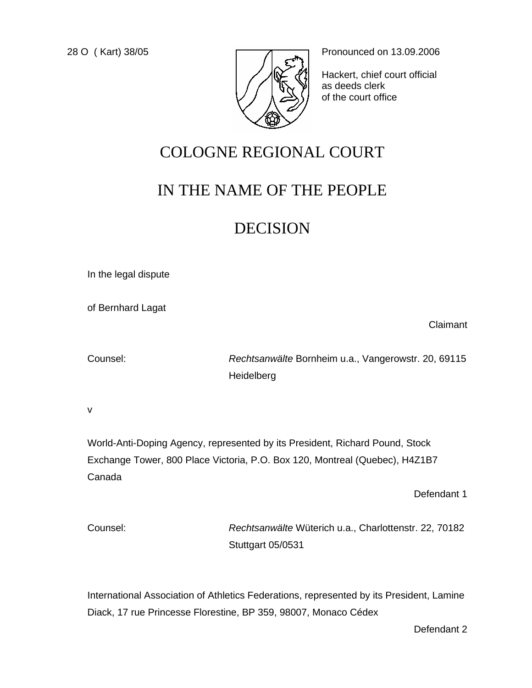

28 O (Kart) 38/05 **Pronounced on 13.09.2006** 

Hackert, chief court official as deeds clerk of the court office

# COLOGNE REGIONAL COURT

# IN THE NAME OF THE PEOPLE

# DECISION

In the legal dispute

of Bernhard Lagat

Counsel: *Rechtsanwälte* Bornheim u.a., Vangerowstr. 20, 69115 **Heidelberg** 

v

World-Anti-Doping Agency, represented by its President, Richard Pound, Stock Exchange Tower, 800 Place Victoria, P.O. Box 120, Montreal (Quebec), H4Z1B7 Canada

Defendant 1

Claimant

Counsel: *Rechtsanwälte* Wüterich u.a., Charlottenstr. 22, 70182 Stuttgart 05/0531

International Association of Athletics Federations, represented by its President, Lamine Diack, 17 rue Princesse Florestine, BP 359, 98007, Monaco Cédex

Defendant 2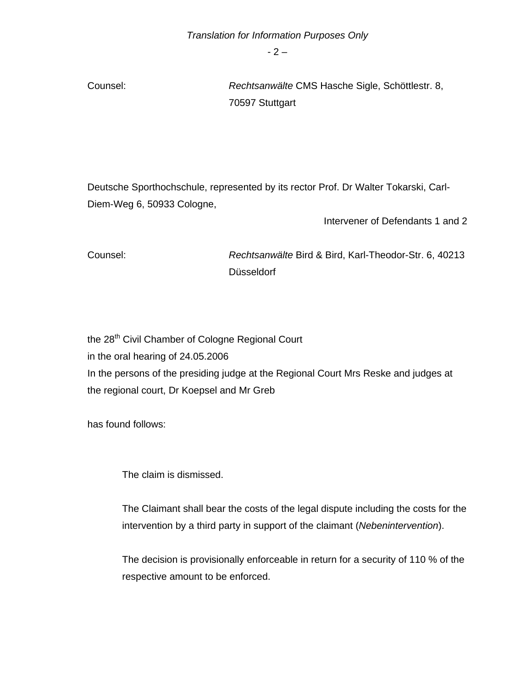$-2 -$ 

Counsel: *Rechtsanwälte* CMS Hasche Sigle, Schöttlestr. 8, 70597 Stuttgart

Deutsche Sporthochschule, represented by its rector Prof. Dr Walter Tokarski, Carl-Diem-Weg 6, 50933 Cologne,

Intervener of Defendants 1 and 2

Counsel: *Rechtsanwälte* Bird & Bird, Karl-Theodor-Str. 6, 40213 Düsseldorf

the 28<sup>th</sup> Civil Chamber of Cologne Regional Court in the oral hearing of 24.05.2006 In the persons of the presiding judge at the Regional Court Mrs Reske and judges at the regional court, Dr Koepsel and Mr Greb

has found follows:

The claim is dismissed.

The Claimant shall bear the costs of the legal dispute including the costs for the intervention by a third party in support of the claimant (*Nebenintervention*).

The decision is provisionally enforceable in return for a security of 110 % of the respective amount to be enforced.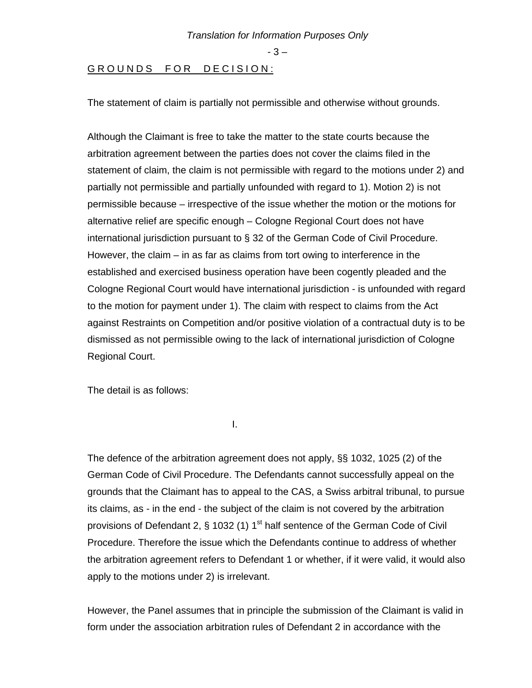- 3 –

## GROUNDS FOR DECISION:

The statement of claim is partially not permissible and otherwise without grounds.

Although the Claimant is free to take the matter to the state courts because the arbitration agreement between the parties does not cover the claims filed in the statement of claim, the claim is not permissible with regard to the motions under 2) and partially not permissible and partially unfounded with regard to 1). Motion 2) is not permissible because – irrespective of the issue whether the motion or the motions for alternative relief are specific enough – Cologne Regional Court does not have international jurisdiction pursuant to § 32 of the German Code of Civil Procedure. However, the claim  $-$  in as far as claims from tort owing to interference in the established and exercised business operation have been cogently pleaded and the Cologne Regional Court would have international jurisdiction - is unfounded with regard to the motion for payment under 1). The claim with respect to claims from the Act against Restraints on Competition and/or positive violation of a contractual duty is to be dismissed as not permissible owing to the lack of international jurisdiction of Cologne Regional Court.

The detail is as follows:

**I. A. Barrison and A. Barrison and T.** 

The defence of the arbitration agreement does not apply, §§ 1032, 1025 (2) of the German Code of Civil Procedure. The Defendants cannot successfully appeal on the grounds that the Claimant has to appeal to the CAS, a Swiss arbitral tribunal, to pursue its claims, as - in the end - the subject of the claim is not covered by the arbitration provisions of Defendant 2,  $\S$  1032 (1) 1<sup>st</sup> half sentence of the German Code of Civil Procedure. Therefore the issue which the Defendants continue to address of whether the arbitration agreement refers to Defendant 1 or whether, if it were valid, it would also apply to the motions under 2) is irrelevant.

However, the Panel assumes that in principle the submission of the Claimant is valid in form under the association arbitration rules of Defendant 2 in accordance with the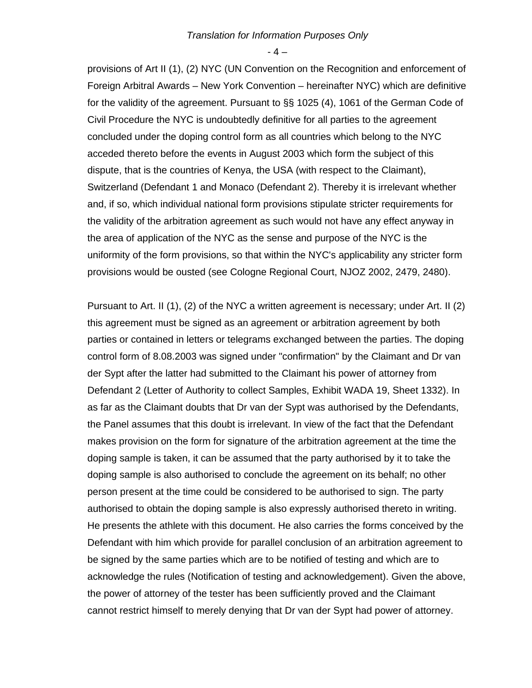$-4-$ 

provisions of Art II (1), (2) NYC (UN Convention on the Recognition and enforcement of Foreign Arbitral Awards – New York Convention – hereinafter NYC) which are definitive for the validity of the agreement. Pursuant to §§ 1025 (4), 1061 of the German Code of Civil Procedure the NYC is undoubtedly definitive for all parties to the agreement concluded under the doping control form as all countries which belong to the NYC acceded thereto before the events in August 2003 which form the subject of this dispute, that is the countries of Kenya, the USA (with respect to the Claimant), Switzerland (Defendant 1 and Monaco (Defendant 2). Thereby it is irrelevant whether and, if so, which individual national form provisions stipulate stricter requirements for the validity of the arbitration agreement as such would not have any effect anyway in the area of application of the NYC as the sense and purpose of the NYC is the uniformity of the form provisions, so that within the NYC's applicability any stricter form provisions would be ousted (see Cologne Regional Court, NJOZ 2002, 2479, 2480).

Pursuant to Art. II (1), (2) of the NYC a written agreement is necessary; under Art. II (2) this agreement must be signed as an agreement or arbitration agreement by both parties or contained in letters or telegrams exchanged between the parties. The doping control form of 8.08.2003 was signed under "confirmation" by the Claimant and Dr van der Sypt after the latter had submitted to the Claimant his power of attorney from Defendant 2 (Letter of Authority to collect Samples, Exhibit WADA 19, Sheet 1332). In as far as the Claimant doubts that Dr van der Sypt was authorised by the Defendants, the Panel assumes that this doubt is irrelevant. In view of the fact that the Defendant makes provision on the form for signature of the arbitration agreement at the time the doping sample is taken, it can be assumed that the party authorised by it to take the doping sample is also authorised to conclude the agreement on its behalf; no other person present at the time could be considered to be authorised to sign. The party authorised to obtain the doping sample is also expressly authorised thereto in writing. He presents the athlete with this document. He also carries the forms conceived by the Defendant with him which provide for parallel conclusion of an arbitration agreement to be signed by the same parties which are to be notified of testing and which are to acknowledge the rules (Notification of testing and acknowledgement). Given the above, the power of attorney of the tester has been sufficiently proved and the Claimant cannot restrict himself to merely denying that Dr van der Sypt had power of attorney.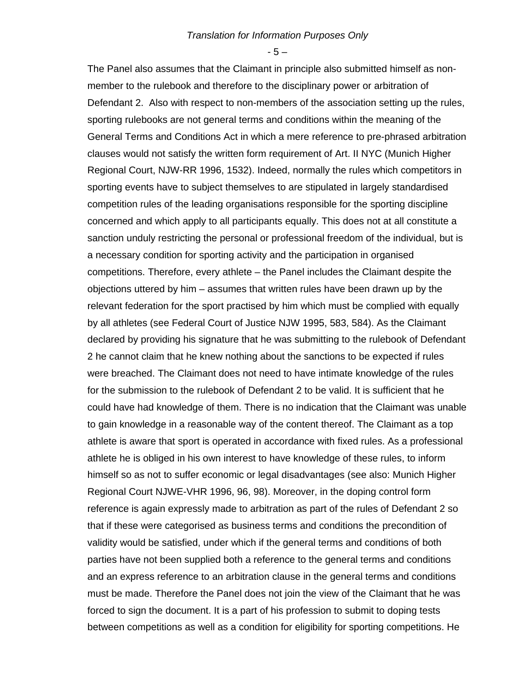- 5 –

The Panel also assumes that the Claimant in principle also submitted himself as nonmember to the rulebook and therefore to the disciplinary power or arbitration of Defendant 2. Also with respect to non-members of the association setting up the rules, sporting rulebooks are not general terms and conditions within the meaning of the General Terms and Conditions Act in which a mere reference to pre-phrased arbitration clauses would not satisfy the written form requirement of Art. II NYC (Munich Higher Regional Court, NJW-RR 1996, 1532). Indeed, normally the rules which competitors in sporting events have to subject themselves to are stipulated in largely standardised competition rules of the leading organisations responsible for the sporting discipline concerned and which apply to all participants equally. This does not at all constitute a sanction unduly restricting the personal or professional freedom of the individual, but is a necessary condition for sporting activity and the participation in organised competitions. Therefore, every athlete – the Panel includes the Claimant despite the objections uttered by him – assumes that written rules have been drawn up by the relevant federation for the sport practised by him which must be complied with equally by all athletes (see Federal Court of Justice NJW 1995, 583, 584). As the Claimant declared by providing his signature that he was submitting to the rulebook of Defendant 2 he cannot claim that he knew nothing about the sanctions to be expected if rules were breached. The Claimant does not need to have intimate knowledge of the rules for the submission to the rulebook of Defendant 2 to be valid. It is sufficient that he could have had knowledge of them. There is no indication that the Claimant was unable to gain knowledge in a reasonable way of the content thereof. The Claimant as a top athlete is aware that sport is operated in accordance with fixed rules. As a professional athlete he is obliged in his own interest to have knowledge of these rules, to inform himself so as not to suffer economic or legal disadvantages (see also: Munich Higher Regional Court NJWE-VHR 1996, 96, 98). Moreover, in the doping control form reference is again expressly made to arbitration as part of the rules of Defendant 2 so that if these were categorised as business terms and conditions the precondition of validity would be satisfied, under which if the general terms and conditions of both parties have not been supplied both a reference to the general terms and conditions and an express reference to an arbitration clause in the general terms and conditions must be made. Therefore the Panel does not join the view of the Claimant that he was forced to sign the document. It is a part of his profession to submit to doping tests between competitions as well as a condition for eligibility for sporting competitions. He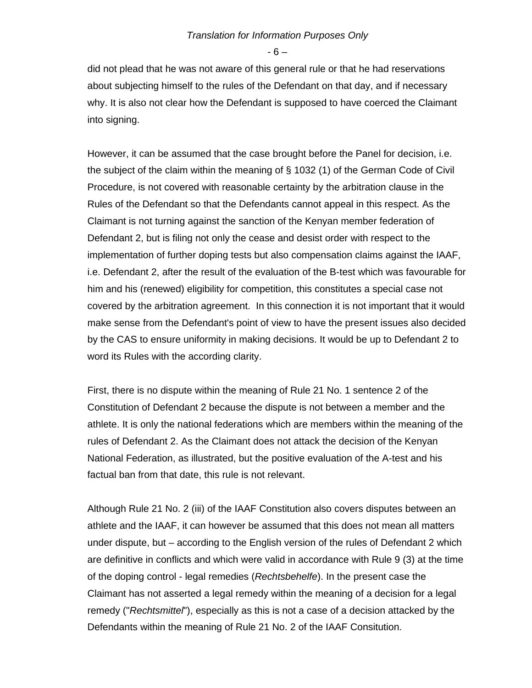- 6 –

did not plead that he was not aware of this general rule or that he had reservations about subjecting himself to the rules of the Defendant on that day, and if necessary why. It is also not clear how the Defendant is supposed to have coerced the Claimant into signing.

However, it can be assumed that the case brought before the Panel for decision, i.e. the subject of the claim within the meaning of § 1032 (1) of the German Code of Civil Procedure, is not covered with reasonable certainty by the arbitration clause in the Rules of the Defendant so that the Defendants cannot appeal in this respect. As the Claimant is not turning against the sanction of the Kenyan member federation of Defendant 2, but is filing not only the cease and desist order with respect to the implementation of further doping tests but also compensation claims against the IAAF, i.e. Defendant 2, after the result of the evaluation of the B-test which was favourable for him and his (renewed) eligibility for competition, this constitutes a special case not covered by the arbitration agreement. In this connection it is not important that it would make sense from the Defendant's point of view to have the present issues also decided by the CAS to ensure uniformity in making decisions. It would be up to Defendant 2 to word its Rules with the according clarity.

First, there is no dispute within the meaning of Rule 21 No. 1 sentence 2 of the Constitution of Defendant 2 because the dispute is not between a member and the athlete. It is only the national federations which are members within the meaning of the rules of Defendant 2. As the Claimant does not attack the decision of the Kenyan National Federation, as illustrated, but the positive evaluation of the A-test and his factual ban from that date, this rule is not relevant.

Although Rule 21 No. 2 (iii) of the IAAF Constitution also covers disputes between an athlete and the IAAF, it can however be assumed that this does not mean all matters under dispute, but – according to the English version of the rules of Defendant 2 which are definitive in conflicts and which were valid in accordance with Rule 9 (3) at the time of the doping control - legal remedies (*Rechtsbehelfe*). In the present case the Claimant has not asserted a legal remedy within the meaning of a decision for a legal remedy ("*Rechtsmittel*"), especially as this is not a case of a decision attacked by the Defendants within the meaning of Rule 21 No. 2 of the IAAF Consitution.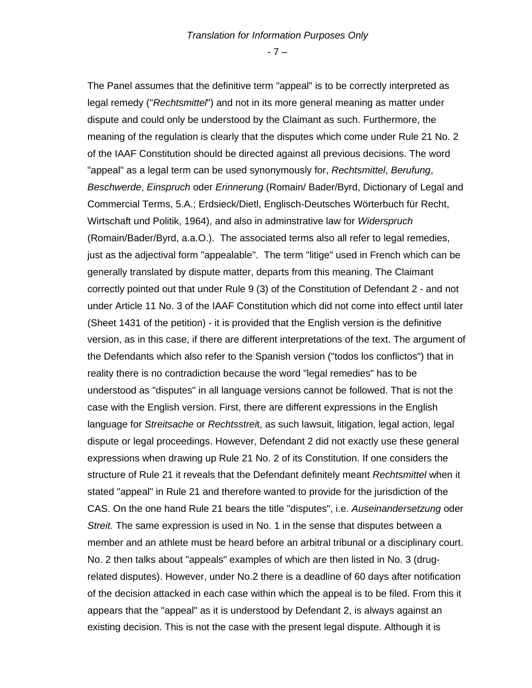- 7 –

The Panel assumes that the definitive term "appeal" is to be correctly interpreted as legal remedy ("*Rechtsmittel*") and not in its more general meaning as matter under dispute and could only be understood by the Claimant as such. Furthermore, the meaning of the regulation is clearly that the disputes which come under Rule 21 No. 2 of the IAAF Constitution should be directed against all previous decisions. The word "appeal" as a legal term can be used synonymously for, *Rechtsmittel*, *Berufung*, *Beschwerde*, *Einspruch* oder *Erinnerung* (Romain/ Bader/Byrd, Dictionary of Legal and Commercial Terms, 5.A.; Erdsieck/Dietl, Englisch-Deutsches Wörterbuch für Recht, Wirtschaft und Politik, 1964), and also in adminstrative law for *Widerspruch* (Romain/Bader/Byrd, a.a.O.). The associated terms also all refer to legal remedies, just as the adjectival form "appealable". The term "litige" used in French which can be generally translated by dispute matter, departs from this meaning. The Claimant correctly pointed out that under Rule 9 (3) of the Constitution of Defendant 2 - and not under Article 11 No. 3 of the IAAF Constitution which did not come into effect until later (Sheet 1431 of the petition) - it is provided that the English version is the definitive version, as in this case, if there are different interpretations of the text. The argument of the Defendants which also refer to the Spanish version ("todos los conflictos") that in reality there is no contradiction because the word "legal remedies" has to be understood as "disputes" in all language versions cannot be followed. That is not the case with the English version. First, there are different expressions in the English language for *Streitsache* or *Rechtsstrei*t, as such lawsuit, litigation, legal action, legal dispute or legal proceedings. However, Defendant 2 did not exactly use these general expressions when drawing up Rule 21 No. 2 of its Constitution. If one considers the structure of Rule 21 it reveals that the Defendant definitely meant *Rechtsmittel* when it stated "appeal" in Rule 21 and therefore wanted to provide for the jurisdiction of the CAS. On the one hand Rule 21 bears the title "disputes", i.e. *Auseinandersetzung* oder *Streit.* The same expression is used in No. 1 in the sense that disputes between a member and an athlete must be heard before an arbitral tribunal or a disciplinary court. No. 2 then talks about "appeals" examples of which are then listed in No. 3 (drugrelated disputes). However, under No.2 there is a deadline of 60 days after notification of the decision attacked in each case within which the appeal is to be filed. From this it appears that the "appeal" as it is understood by Defendant 2, is always against an existing decision. This is not the case with the present legal dispute. Although it is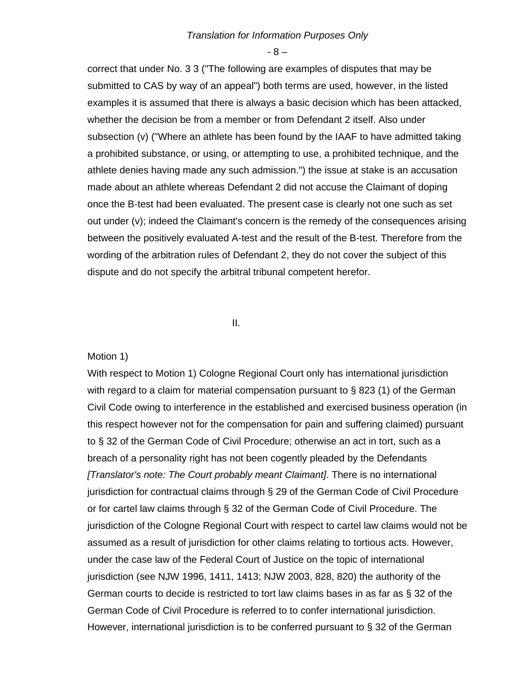- 8 –

correct that under No. 3 3 ("The following are examples of disputes that may be submitted to CAS by way of an appeal") both terms are used, however, in the listed examples it is assumed that there is always a basic decision which has been attacked, whether the decision be from a member or from Defendant 2 itself. Also under subsection (v) ("Where an athlete has been found by the IAAF to have admitted taking a prohibited substance, or using, or attempting to use, a prohibited technique, and the athlete denies having made any such admission.") the issue at stake is an accusation made about an athlete whereas Defendant 2 did not accuse the Claimant of doping once the B-test had been evaluated. The present case is clearly not one such as set out under (v); indeed the Claimant's concern is the remedy of the consequences arising between the positively evaluated A-test and the result of the B-test. Therefore from the wording of the arbitration rules of Defendant 2, they do not cover the subject of this dispute and do not specify the arbitral tribunal competent herefor.

**III. III.** 

#### Motion 1)

With respect to Motion 1) Cologne Regional Court only has international jurisdiction with regard to a claim for material compensation pursuant to § 823 (1) of the German Civil Code owing to interference in the established and exercised business operation (in this respect however not for the compensation for pain and suffering claimed) pursuant to § 32 of the German Code of Civil Procedure; otherwise an act in tort, such as a breach of a personality right has not been cogently pleaded by the Defendants *[Translator's note: The Court probably meant Claimant]*. There is no international jurisdiction for contractual claims through § 29 of the German Code of Civil Procedure or for cartel law claims through § 32 of the German Code of Civil Procedure. The jurisdiction of the Cologne Regional Court with respect to cartel law claims would not be assumed as a result of jurisdiction for other claims relating to tortious acts. However, under the case law of the Federal Court of Justice on the topic of international jurisdiction (see NJW 1996, 1411, 1413; NJW 2003, 828, 820) the authority of the German courts to decide is restricted to tort law claims bases in as far as § 32 of the German Code of Civil Procedure is referred to to confer international jurisdiction. However, international jurisdiction is to be conferred pursuant to § 32 of the German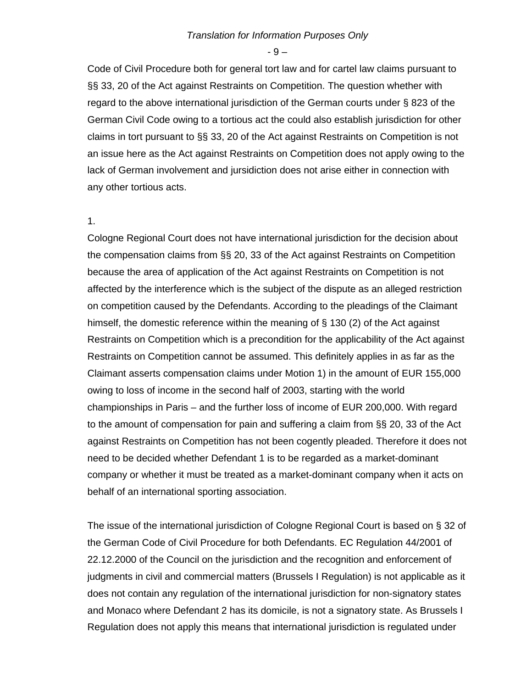- 9 –

Code of Civil Procedure both for general tort law and for cartel law claims pursuant to §§ 33, 20 of the Act against Restraints on Competition. The question whether with regard to the above international jurisdiction of the German courts under § 823 of the German Civil Code owing to a tortious act the could also establish jurisdiction for other claims in tort pursuant to §§ 33, 20 of the Act against Restraints on Competition is not an issue here as the Act against Restraints on Competition does not apply owing to the lack of German involvement and jursidiction does not arise either in connection with any other tortious acts.

#### 1.

Cologne Regional Court does not have international jurisdiction for the decision about the compensation claims from §§ 20, 33 of the Act against Restraints on Competition because the area of application of the Act against Restraints on Competition is not affected by the interference which is the subject of the dispute as an alleged restriction on competition caused by the Defendants. According to the pleadings of the Claimant himself, the domestic reference within the meaning of § 130 (2) of the Act against Restraints on Competition which is a precondition for the applicability of the Act against Restraints on Competition cannot be assumed. This definitely applies in as far as the Claimant asserts compensation claims under Motion 1) in the amount of EUR 155,000 owing to loss of income in the second half of 2003, starting with the world championships in Paris – and the further loss of income of EUR 200,000. With regard to the amount of compensation for pain and suffering a claim from §§ 20, 33 of the Act against Restraints on Competition has not been cogently pleaded. Therefore it does not need to be decided whether Defendant 1 is to be regarded as a market-dominant company or whether it must be treated as a market-dominant company when it acts on behalf of an international sporting association.

The issue of the international jurisdiction of Cologne Regional Court is based on § 32 of the German Code of Civil Procedure for both Defendants. EC Regulation 44/2001 of 22.12.2000 of the Council on the jurisdiction and the recognition and enforcement of judgments in civil and commercial matters (Brussels I Regulation) is not applicable as it does not contain any regulation of the international jurisdiction for non-signatory states and Monaco where Defendant 2 has its domicile, is not a signatory state. As Brussels I Regulation does not apply this means that international jurisdiction is regulated under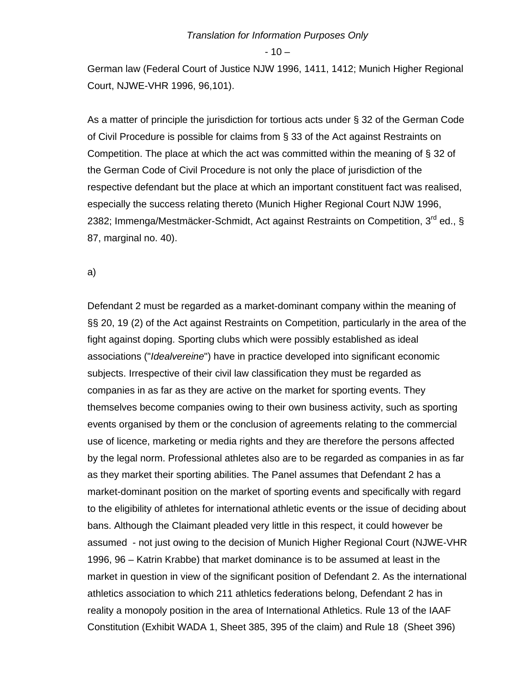$-10-$ 

German law (Federal Court of Justice NJW 1996, 1411, 1412; Munich Higher Regional Court, NJWE-VHR 1996, 96,101).

As a matter of principle the jurisdiction for tortious acts under § 32 of the German Code of Civil Procedure is possible for claims from § 33 of the Act against Restraints on Competition. The place at which the act was committed within the meaning of § 32 of the German Code of Civil Procedure is not only the place of jurisdiction of the respective defendant but the place at which an important constituent fact was realised, especially the success relating thereto (Munich Higher Regional Court NJW 1996, 2382; Immenga/Mestmäcker-Schmidt, Act against Restraints on Competition, 3<sup>rd</sup> ed., § 87, marginal no. 40).

a)

Defendant 2 must be regarded as a market-dominant company within the meaning of §§ 20, 19 (2) of the Act against Restraints on Competition, particularly in the area of the fight against doping. Sporting clubs which were possibly established as ideal associations ("*Idealvereine*") have in practice developed into significant economic subjects. Irrespective of their civil law classification they must be regarded as companies in as far as they are active on the market for sporting events. They themselves become companies owing to their own business activity, such as sporting events organised by them or the conclusion of agreements relating to the commercial use of licence, marketing or media rights and they are therefore the persons affected by the legal norm. Professional athletes also are to be regarded as companies in as far as they market their sporting abilities. The Panel assumes that Defendant 2 has a market-dominant position on the market of sporting events and specifically with regard to the eligibility of athletes for international athletic events or the issue of deciding about bans. Although the Claimant pleaded very little in this respect, it could however be assumed - not just owing to the decision of Munich Higher Regional Court (NJWE-VHR 1996, 96 – Katrin Krabbe) that market dominance is to be assumed at least in the market in question in view of the significant position of Defendant 2. As the international athletics association to which 211 athletics federations belong, Defendant 2 has in reality a monopoly position in the area of International Athletics. Rule 13 of the IAAF Constitution (Exhibit WADA 1, Sheet 385, 395 of the claim) and Rule 18 (Sheet 396)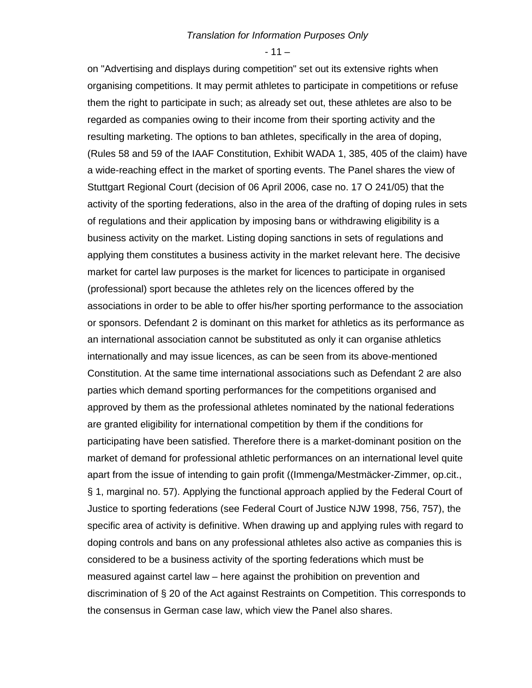$-11-$ 

on "Advertising and displays during competition" set out its extensive rights when organising competitions. It may permit athletes to participate in competitions or refuse them the right to participate in such; as already set out, these athletes are also to be regarded as companies owing to their income from their sporting activity and the resulting marketing. The options to ban athletes, specifically in the area of doping, (Rules 58 and 59 of the IAAF Constitution, Exhibit WADA 1, 385, 405 of the claim) have a wide-reaching effect in the market of sporting events. The Panel shares the view of Stuttgart Regional Court (decision of 06 April 2006, case no. 17 O 241/05) that the activity of the sporting federations, also in the area of the drafting of doping rules in sets of regulations and their application by imposing bans or withdrawing eligibility is a business activity on the market. Listing doping sanctions in sets of regulations and applying them constitutes a business activity in the market relevant here. The decisive market for cartel law purposes is the market for licences to participate in organised (professional) sport because the athletes rely on the licences offered by the associations in order to be able to offer his/her sporting performance to the association or sponsors. Defendant 2 is dominant on this market for athletics as its performance as an international association cannot be substituted as only it can organise athletics internationally and may issue licences, as can be seen from its above-mentioned Constitution. At the same time international associations such as Defendant 2 are also parties which demand sporting performances for the competitions organised and approved by them as the professional athletes nominated by the national federations are granted eligibility for international competition by them if the conditions for participating have been satisfied. Therefore there is a market-dominant position on the market of demand for professional athletic performances on an international level quite apart from the issue of intending to gain profit ((Immenga/Mestmäcker-Zimmer, op.cit., § 1, marginal no. 57). Applying the functional approach applied by the Federal Court of Justice to sporting federations (see Federal Court of Justice NJW 1998, 756, 757), the specific area of activity is definitive. When drawing up and applying rules with regard to doping controls and bans on any professional athletes also active as companies this is considered to be a business activity of the sporting federations which must be measured against cartel law – here against the prohibition on prevention and discrimination of § 20 of the Act against Restraints on Competition. This corresponds to the consensus in German case law, which view the Panel also shares.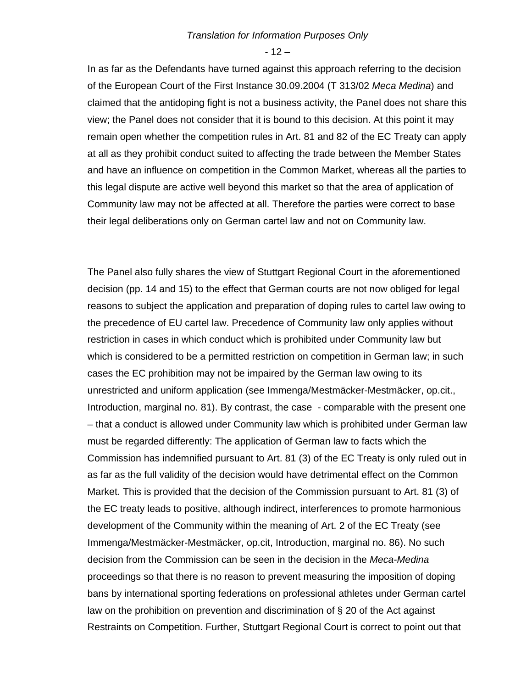$-12-$ 

In as far as the Defendants have turned against this approach referring to the decision of the European Court of the First Instance 30.09.2004 (T 313/02 *Meca Medina*) and claimed that the antidoping fight is not a business activity, the Panel does not share this view; the Panel does not consider that it is bound to this decision. At this point it may remain open whether the competition rules in Art. 81 and 82 of the EC Treaty can apply at all as they prohibit conduct suited to affecting the trade between the Member States and have an influence on competition in the Common Market, whereas all the parties to this legal dispute are active well beyond this market so that the area of application of Community law may not be affected at all. Therefore the parties were correct to base their legal deliberations only on German cartel law and not on Community law.

The Panel also fully shares the view of Stuttgart Regional Court in the aforementioned decision (pp. 14 and 15) to the effect that German courts are not now obliged for legal reasons to subject the application and preparation of doping rules to cartel law owing to the precedence of EU cartel law. Precedence of Community law only applies without restriction in cases in which conduct which is prohibited under Community law but which is considered to be a permitted restriction on competition in German law; in such cases the EC prohibition may not be impaired by the German law owing to its unrestricted and uniform application (see Immenga/Mestmäcker-Mestmäcker, op.cit., Introduction, marginal no. 81). By contrast, the case - comparable with the present one – that a conduct is allowed under Community law which is prohibited under German law must be regarded differently: The application of German law to facts which the Commission has indemnified pursuant to Art. 81 (3) of the EC Treaty is only ruled out in as far as the full validity of the decision would have detrimental effect on the Common Market. This is provided that the decision of the Commission pursuant to Art. 81 (3) of the EC treaty leads to positive, although indirect, interferences to promote harmonious development of the Community within the meaning of Art. 2 of the EC Treaty (see Immenga/Mestmäcker-Mestmäcker, op.cit, Introduction, marginal no. 86). No such decision from the Commission can be seen in the decision in the *Meca-Medina*  proceedings so that there is no reason to prevent measuring the imposition of doping bans by international sporting federations on professional athletes under German cartel law on the prohibition on prevention and discrimination of § 20 of the Act against Restraints on Competition. Further, Stuttgart Regional Court is correct to point out that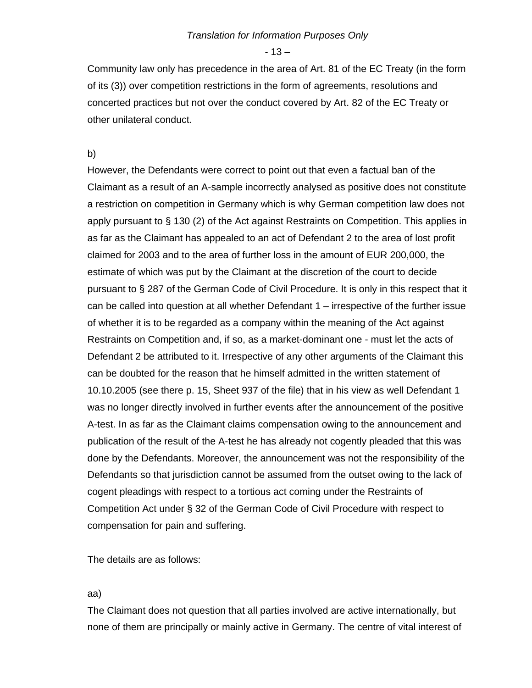$-13-$ 

Community law only has precedence in the area of Art. 81 of the EC Treaty (in the form of its (3)) over competition restrictions in the form of agreements, resolutions and concerted practices but not over the conduct covered by Art. 82 of the EC Treaty or other unilateral conduct.

b)

However, the Defendants were correct to point out that even a factual ban of the Claimant as a result of an A-sample incorrectly analysed as positive does not constitute a restriction on competition in Germany which is why German competition law does not apply pursuant to § 130 (2) of the Act against Restraints on Competition. This applies in as far as the Claimant has appealed to an act of Defendant 2 to the area of lost profit claimed for 2003 and to the area of further loss in the amount of EUR 200,000, the estimate of which was put by the Claimant at the discretion of the court to decide pursuant to § 287 of the German Code of Civil Procedure. It is only in this respect that it can be called into question at all whether Defendant 1 – irrespective of the further issue of whether it is to be regarded as a company within the meaning of the Act against Restraints on Competition and, if so, as a market-dominant one - must let the acts of Defendant 2 be attributed to it. Irrespective of any other arguments of the Claimant this can be doubted for the reason that he himself admitted in the written statement of 10.10.2005 (see there p. 15, Sheet 937 of the file) that in his view as well Defendant 1 was no longer directly involved in further events after the announcement of the positive A-test. In as far as the Claimant claims compensation owing to the announcement and publication of the result of the A-test he has already not cogently pleaded that this was done by the Defendants. Moreover, the announcement was not the responsibility of the Defendants so that jurisdiction cannot be assumed from the outset owing to the lack of cogent pleadings with respect to a tortious act coming under the Restraints of Competition Act under § 32 of the German Code of Civil Procedure with respect to compensation for pain and suffering.

The details are as follows:

## aa)

The Claimant does not question that all parties involved are active internationally, but none of them are principally or mainly active in Germany. The centre of vital interest of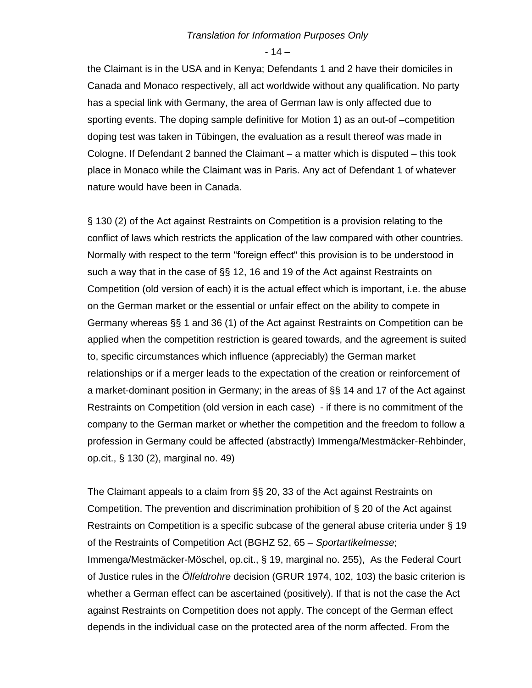- 14 –

the Claimant is in the USA and in Kenya; Defendants 1 and 2 have their domiciles in Canada and Monaco respectively, all act worldwide without any qualification. No party has a special link with Germany, the area of German law is only affected due to sporting events. The doping sample definitive for Motion 1) as an out-of –competition doping test was taken in Tübingen, the evaluation as a result thereof was made in Cologne. If Defendant 2 banned the Claimant – a matter which is disputed – this took place in Monaco while the Claimant was in Paris. Any act of Defendant 1 of whatever nature would have been in Canada.

§ 130 (2) of the Act against Restraints on Competition is a provision relating to the conflict of laws which restricts the application of the law compared with other countries. Normally with respect to the term "foreign effect" this provision is to be understood in such a way that in the case of §§ 12, 16 and 19 of the Act against Restraints on Competition (old version of each) it is the actual effect which is important, i.e. the abuse on the German market or the essential or unfair effect on the ability to compete in Germany whereas §§ 1 and 36 (1) of the Act against Restraints on Competition can be applied when the competition restriction is geared towards, and the agreement is suited to, specific circumstances which influence (appreciably) the German market relationships or if a merger leads to the expectation of the creation or reinforcement of a market-dominant position in Germany; in the areas of §§ 14 and 17 of the Act against Restraints on Competition (old version in each case) - if there is no commitment of the company to the German market or whether the competition and the freedom to follow a profession in Germany could be affected (abstractly) Immenga/Mestmäcker-Rehbinder, op.cit., § 130 (2), marginal no. 49)

The Claimant appeals to a claim from §§ 20, 33 of the Act against Restraints on Competition. The prevention and discrimination prohibition of § 20 of the Act against Restraints on Competition is a specific subcase of the general abuse criteria under § 19 of the Restraints of Competition Act (BGHZ 52, 65 – *Sportartikelmesse*; Immenga/Mestmäcker-Möschel, op.cit., § 19, marginal no. 255), As the Federal Court of Justice rules in the *Ölfeldrohre* decision (GRUR 1974, 102, 103) the basic criterion is whether a German effect can be ascertained (positively). If that is not the case the Act against Restraints on Competition does not apply. The concept of the German effect depends in the individual case on the protected area of the norm affected. From the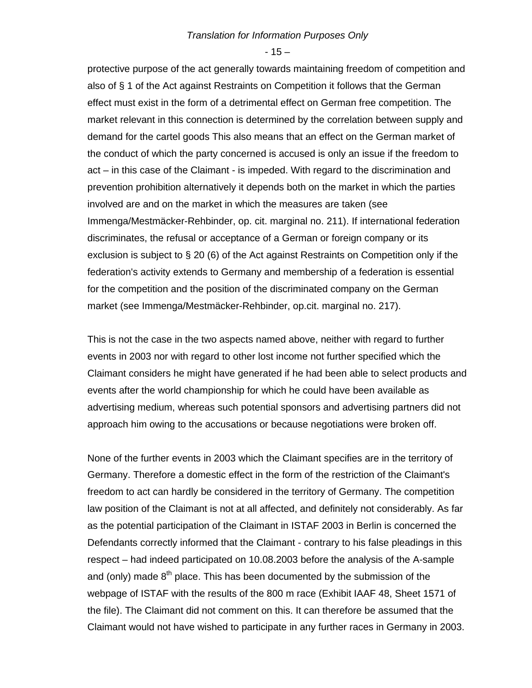$-15-$ 

protective purpose of the act generally towards maintaining freedom of competition and also of § 1 of the Act against Restraints on Competition it follows that the German effect must exist in the form of a detrimental effect on German free competition. The market relevant in this connection is determined by the correlation between supply and demand for the cartel goods This also means that an effect on the German market of the conduct of which the party concerned is accused is only an issue if the freedom to act – in this case of the Claimant - is impeded. With regard to the discrimination and prevention prohibition alternatively it depends both on the market in which the parties involved are and on the market in which the measures are taken (see Immenga/Mestmäcker-Rehbinder, op. cit. marginal no. 211). If international federation discriminates, the refusal or acceptance of a German or foreign company or its exclusion is subject to § 20 (6) of the Act against Restraints on Competition only if the federation's activity extends to Germany and membership of a federation is essential for the competition and the position of the discriminated company on the German market (see Immenga/Mestmäcker-Rehbinder, op.cit. marginal no. 217).

This is not the case in the two aspects named above, neither with regard to further events in 2003 nor with regard to other lost income not further specified which the Claimant considers he might have generated if he had been able to select products and events after the world championship for which he could have been available as advertising medium, whereas such potential sponsors and advertising partners did not approach him owing to the accusations or because negotiations were broken off.

None of the further events in 2003 which the Claimant specifies are in the territory of Germany. Therefore a domestic effect in the form of the restriction of the Claimant's freedom to act can hardly be considered in the territory of Germany. The competition law position of the Claimant is not at all affected, and definitely not considerably. As far as the potential participation of the Claimant in ISTAF 2003 in Berlin is concerned the Defendants correctly informed that the Claimant - contrary to his false pleadings in this respect – had indeed participated on 10.08.2003 before the analysis of the A-sample and (only) made  $8<sup>th</sup>$  place. This has been documented by the submission of the webpage of ISTAF with the results of the 800 m race (Exhibit IAAF 48, Sheet 1571 of the file). The Claimant did not comment on this. It can therefore be assumed that the Claimant would not have wished to participate in any further races in Germany in 2003.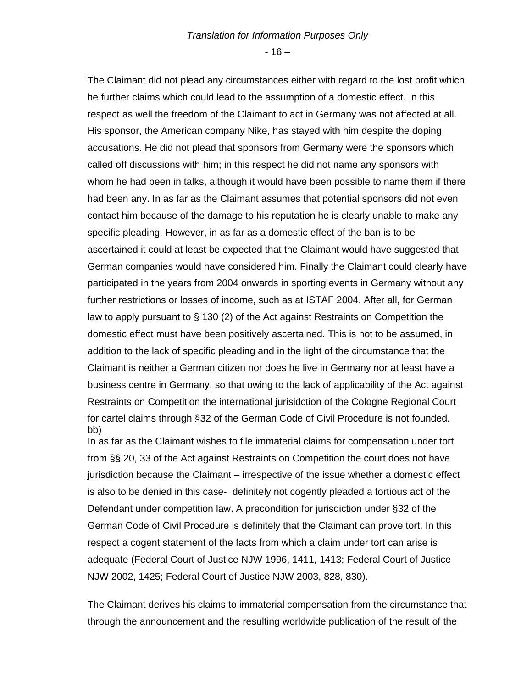$-16-$ 

The Claimant did not plead any circumstances either with regard to the lost profit which he further claims which could lead to the assumption of a domestic effect. In this respect as well the freedom of the Claimant to act in Germany was not affected at all. His sponsor, the American company Nike, has stayed with him despite the doping accusations. He did not plead that sponsors from Germany were the sponsors which called off discussions with him; in this respect he did not name any sponsors with whom he had been in talks, although it would have been possible to name them if there had been any. In as far as the Claimant assumes that potential sponsors did not even contact him because of the damage to his reputation he is clearly unable to make any specific pleading. However, in as far as a domestic effect of the ban is to be ascertained it could at least be expected that the Claimant would have suggested that German companies would have considered him. Finally the Claimant could clearly have participated in the years from 2004 onwards in sporting events in Germany without any further restrictions or losses of income, such as at ISTAF 2004. After all, for German law to apply pursuant to § 130 (2) of the Act against Restraints on Competition the domestic effect must have been positively ascertained. This is not to be assumed, in addition to the lack of specific pleading and in the light of the circumstance that the Claimant is neither a German citizen nor does he live in Germany nor at least have a business centre in Germany, so that owing to the lack of applicability of the Act against Restraints on Competition the international jurisidction of the Cologne Regional Court for cartel claims through §32 of the German Code of Civil Procedure is not founded. bb) In as far as the Claimant wishes to file immaterial claims for compensation under tort from §§ 20, 33 of the Act against Restraints on Competition the court does not have jurisdiction because the Claimant – irrespective of the issue whether a domestic effect is also to be denied in this case- definitely not cogently pleaded a tortious act of the Defendant under competition law. A precondition for jurisdiction under §32 of the German Code of Civil Procedure is definitely that the Claimant can prove tort. In this respect a cogent statement of the facts from which a claim under tort can arise is adequate (Federal Court of Justice NJW 1996, 1411, 1413; Federal Court of Justice

The Claimant derives his claims to immaterial compensation from the circumstance that through the announcement and the resulting worldwide publication of the result of the

NJW 2002, 1425; Federal Court of Justice NJW 2003, 828, 830).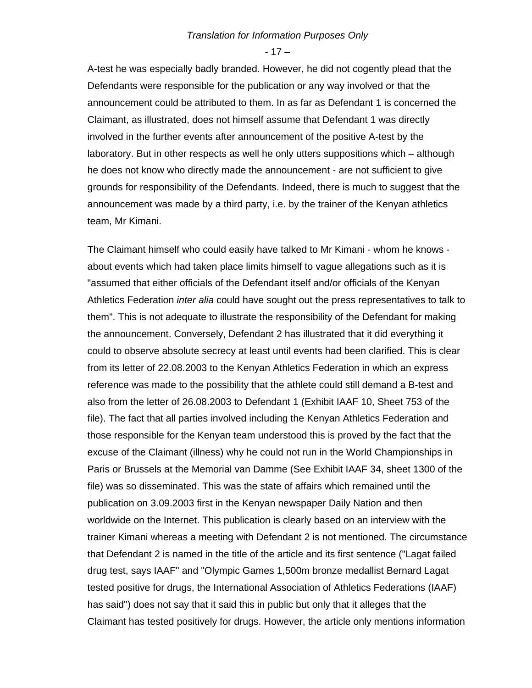- 17 –

A-test he was especially badly branded. However, he did not cogently plead that the Defendants were responsible for the publication or any way involved or that the announcement could be attributed to them. In as far as Defendant 1 is concerned the Claimant, as illustrated, does not himself assume that Defendant 1 was directly involved in the further events after announcement of the positive A-test by the laboratory. But in other respects as well he only utters suppositions which – although he does not know who directly made the announcement - are not sufficient to give grounds for responsibility of the Defendants. Indeed, there is much to suggest that the announcement was made by a third party, i.e. by the trainer of the Kenyan athletics team, Mr Kimani.

The Claimant himself who could easily have talked to Mr Kimani - whom he knows about events which had taken place limits himself to vague allegations such as it is "assumed that either officials of the Defendant itself and/or officials of the Kenyan Athletics Federation *inter alia* could have sought out the press representatives to talk to them". This is not adequate to illustrate the responsibility of the Defendant for making the announcement. Conversely, Defendant 2 has illustrated that it did everything it could to observe absolute secrecy at least until events had been clarified. This is clear from its letter of 22.08.2003 to the Kenyan Athletics Federation in which an express reference was made to the possibility that the athlete could still demand a B-test and also from the letter of 26.08.2003 to Defendant 1 (Exhibit IAAF 10, Sheet 753 of the file). The fact that all parties involved including the Kenyan Athletics Federation and those responsible for the Kenyan team understood this is proved by the fact that the excuse of the Claimant (illness) why he could not run in the World Championships in Paris or Brussels at the Memorial van Damme (See Exhibit IAAF 34, sheet 1300 of the file) was so disseminated. This was the state of affairs which remained until the publication on 3.09.2003 first in the Kenyan newspaper Daily Nation and then worldwide on the Internet. This publication is clearly based on an interview with the trainer Kimani whereas a meeting with Defendant 2 is not mentioned. The circumstance that Defendant 2 is named in the title of the article and its first sentence ("Lagat failed drug test, says IAAF" and "Olympic Games 1,500m bronze medallist Bernard Lagat tested positive for drugs, the International Association of Athletics Federations (IAAF) has said") does not say that it said this in public but only that it alleges that the Claimant has tested positively for drugs. However, the article only mentions information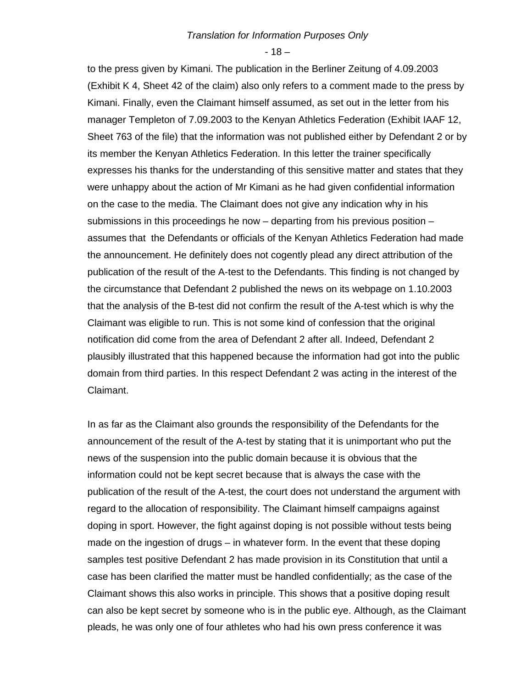$-18-$ 

to the press given by Kimani. The publication in the Berliner Zeitung of 4.09.2003 (Exhibit K 4, Sheet 42 of the claim) also only refers to a comment made to the press by Kimani. Finally, even the Claimant himself assumed, as set out in the letter from his manager Templeton of 7.09.2003 to the Kenyan Athletics Federation (Exhibit IAAF 12, Sheet 763 of the file) that the information was not published either by Defendant 2 or by its member the Kenyan Athletics Federation. In this letter the trainer specifically expresses his thanks for the understanding of this sensitive matter and states that they were unhappy about the action of Mr Kimani as he had given confidential information on the case to the media. The Claimant does not give any indication why in his submissions in this proceedings he now – departing from his previous position – assumes that the Defendants or officials of the Kenyan Athletics Federation had made the announcement. He definitely does not cogently plead any direct attribution of the publication of the result of the A-test to the Defendants. This finding is not changed by the circumstance that Defendant 2 published the news on its webpage on 1.10.2003 that the analysis of the B-test did not confirm the result of the A-test which is why the Claimant was eligible to run. This is not some kind of confession that the original notification did come from the area of Defendant 2 after all. Indeed, Defendant 2 plausibly illustrated that this happened because the information had got into the public domain from third parties. In this respect Defendant 2 was acting in the interest of the Claimant.

In as far as the Claimant also grounds the responsibility of the Defendants for the announcement of the result of the A-test by stating that it is unimportant who put the news of the suspension into the public domain because it is obvious that the information could not be kept secret because that is always the case with the publication of the result of the A-test, the court does not understand the argument with regard to the allocation of responsibility. The Claimant himself campaigns against doping in sport. However, the fight against doping is not possible without tests being made on the ingestion of drugs – in whatever form. In the event that these doping samples test positive Defendant 2 has made provision in its Constitution that until a case has been clarified the matter must be handled confidentially; as the case of the Claimant shows this also works in principle. This shows that a positive doping result can also be kept secret by someone who is in the public eye. Although, as the Claimant pleads, he was only one of four athletes who had his own press conference it was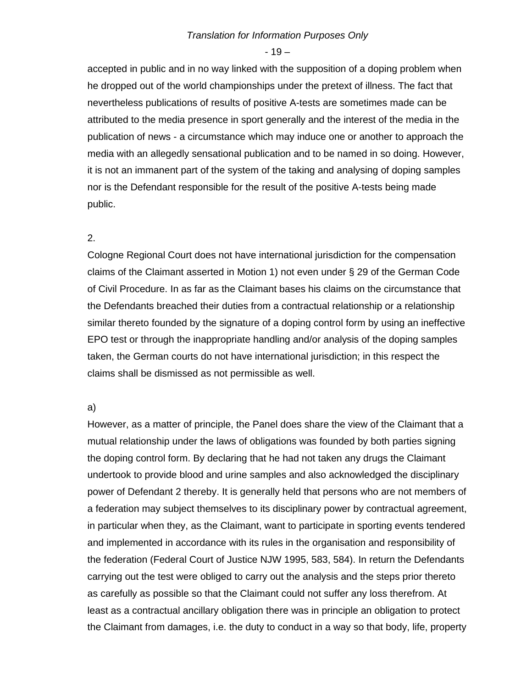$-19-$ 

accepted in public and in no way linked with the supposition of a doping problem when he dropped out of the world championships under the pretext of illness. The fact that nevertheless publications of results of positive A-tests are sometimes made can be attributed to the media presence in sport generally and the interest of the media in the publication of news - a circumstance which may induce one or another to approach the media with an allegedly sensational publication and to be named in so doing. However, it is not an immanent part of the system of the taking and analysing of doping samples nor is the Defendant responsible for the result of the positive A-tests being made public.

## 2.

Cologne Regional Court does not have international jurisdiction for the compensation claims of the Claimant asserted in Motion 1) not even under § 29 of the German Code of Civil Procedure. In as far as the Claimant bases his claims on the circumstance that the Defendants breached their duties from a contractual relationship or a relationship similar thereto founded by the signature of a doping control form by using an ineffective EPO test or through the inappropriate handling and/or analysis of the doping samples taken, the German courts do not have international jurisdiction; in this respect the claims shall be dismissed as not permissible as well.

## a)

However, as a matter of principle, the Panel does share the view of the Claimant that a mutual relationship under the laws of obligations was founded by both parties signing the doping control form. By declaring that he had not taken any drugs the Claimant undertook to provide blood and urine samples and also acknowledged the disciplinary power of Defendant 2 thereby. It is generally held that persons who are not members of a federation may subject themselves to its disciplinary power by contractual agreement, in particular when they, as the Claimant, want to participate in sporting events tendered and implemented in accordance with its rules in the organisation and responsibility of the federation (Federal Court of Justice NJW 1995, 583, 584). In return the Defendants carrying out the test were obliged to carry out the analysis and the steps prior thereto as carefully as possible so that the Claimant could not suffer any loss therefrom. At least as a contractual ancillary obligation there was in principle an obligation to protect the Claimant from damages, i.e. the duty to conduct in a way so that body, life, property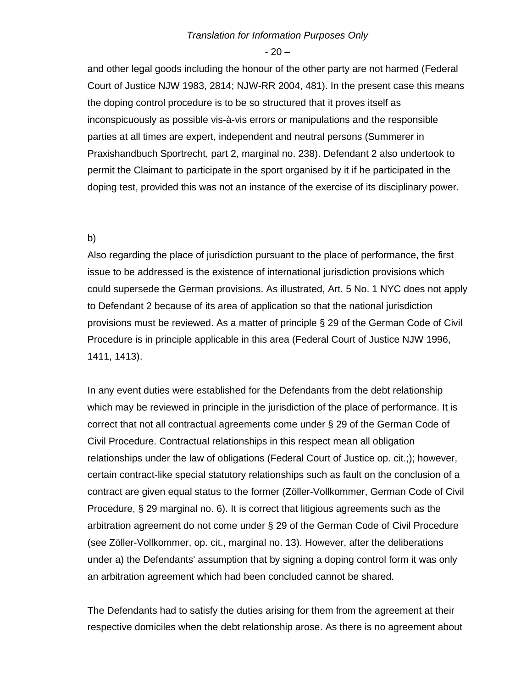$-20-$ 

and other legal goods including the honour of the other party are not harmed (Federal Court of Justice NJW 1983, 2814; NJW-RR 2004, 481). In the present case this means the doping control procedure is to be so structured that it proves itself as inconspicuously as possible vis-à-vis errors or manipulations and the responsible parties at all times are expert, independent and neutral persons (Summerer in Praxishandbuch Sportrecht, part 2, marginal no. 238). Defendant 2 also undertook to permit the Claimant to participate in the sport organised by it if he participated in the doping test, provided this was not an instance of the exercise of its disciplinary power.

## b)

Also regarding the place of jurisdiction pursuant to the place of performance, the first issue to be addressed is the existence of international jurisdiction provisions which could supersede the German provisions. As illustrated, Art. 5 No. 1 NYC does not apply to Defendant 2 because of its area of application so that the national jurisdiction provisions must be reviewed. As a matter of principle § 29 of the German Code of Civil Procedure is in principle applicable in this area (Federal Court of Justice NJW 1996, 1411, 1413).

In any event duties were established for the Defendants from the debt relationship which may be reviewed in principle in the jurisdiction of the place of performance. It is correct that not all contractual agreements come under § 29 of the German Code of Civil Procedure. Contractual relationships in this respect mean all obligation relationships under the law of obligations (Federal Court of Justice op. cit.;); however, certain contract-like special statutory relationships such as fault on the conclusion of a contract are given equal status to the former (Zöller-Vollkommer, German Code of Civil Procedure, § 29 marginal no. 6). It is correct that litigious agreements such as the arbitration agreement do not come under § 29 of the German Code of Civil Procedure (see Zöller-Vollkommer, op. cit., marginal no. 13). However, after the deliberations under a) the Defendants' assumption that by signing a doping control form it was only an arbitration agreement which had been concluded cannot be shared.

The Defendants had to satisfy the duties arising for them from the agreement at their respective domiciles when the debt relationship arose. As there is no agreement about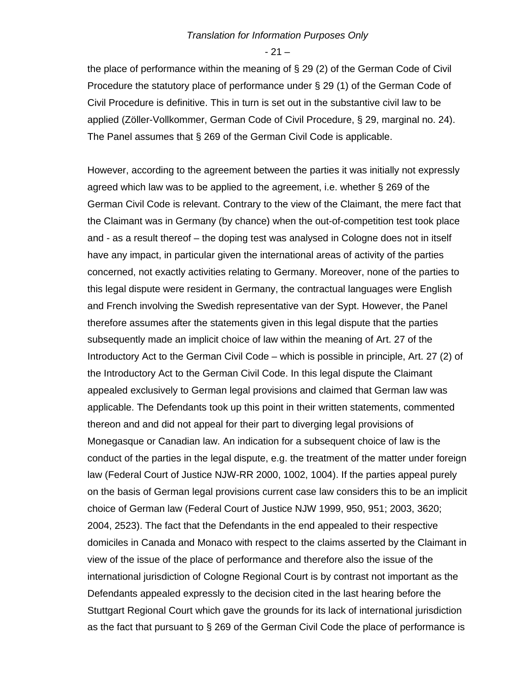$- 21 -$ 

the place of performance within the meaning of § 29 (2) of the German Code of Civil Procedure the statutory place of performance under § 29 (1) of the German Code of Civil Procedure is definitive. This in turn is set out in the substantive civil law to be applied (Zöller-Vollkommer, German Code of Civil Procedure, § 29, marginal no. 24). The Panel assumes that § 269 of the German Civil Code is applicable.

However, according to the agreement between the parties it was initially not expressly agreed which law was to be applied to the agreement, i.e. whether § 269 of the German Civil Code is relevant. Contrary to the view of the Claimant, the mere fact that the Claimant was in Germany (by chance) when the out-of-competition test took place and - as a result thereof – the doping test was analysed in Cologne does not in itself have any impact, in particular given the international areas of activity of the parties concerned, not exactly activities relating to Germany. Moreover, none of the parties to this legal dispute were resident in Germany, the contractual languages were English and French involving the Swedish representative van der Sypt. However, the Panel therefore assumes after the statements given in this legal dispute that the parties subsequently made an implicit choice of law within the meaning of Art. 27 of the Introductory Act to the German Civil Code – which is possible in principle, Art. 27 (2) of the Introductory Act to the German Civil Code. In this legal dispute the Claimant appealed exclusively to German legal provisions and claimed that German law was applicable. The Defendants took up this point in their written statements, commented thereon and and did not appeal for their part to diverging legal provisions of Monegasque or Canadian law. An indication for a subsequent choice of law is the conduct of the parties in the legal dispute, e.g. the treatment of the matter under foreign law (Federal Court of Justice NJW-RR 2000, 1002, 1004). If the parties appeal purely on the basis of German legal provisions current case law considers this to be an implicit choice of German law (Federal Court of Justice NJW 1999, 950, 951; 2003, 3620; 2004, 2523). The fact that the Defendants in the end appealed to their respective domiciles in Canada and Monaco with respect to the claims asserted by the Claimant in view of the issue of the place of performance and therefore also the issue of the international jurisdiction of Cologne Regional Court is by contrast not important as the Defendants appealed expressly to the decision cited in the last hearing before the Stuttgart Regional Court which gave the grounds for its lack of international jurisdiction as the fact that pursuant to § 269 of the German Civil Code the place of performance is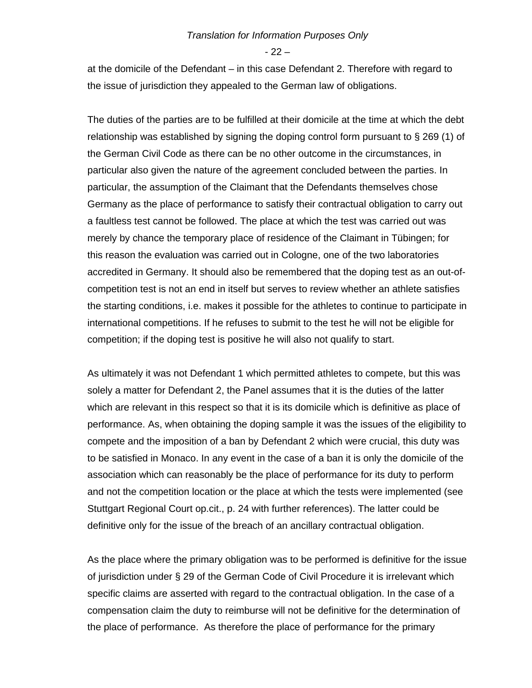- 22 –

at the domicile of the Defendant – in this case Defendant 2. Therefore with regard to the issue of jurisdiction they appealed to the German law of obligations.

The duties of the parties are to be fulfilled at their domicile at the time at which the debt relationship was established by signing the doping control form pursuant to § 269 (1) of the German Civil Code as there can be no other outcome in the circumstances, in particular also given the nature of the agreement concluded between the parties. In particular, the assumption of the Claimant that the Defendants themselves chose Germany as the place of performance to satisfy their contractual obligation to carry out a faultless test cannot be followed. The place at which the test was carried out was merely by chance the temporary place of residence of the Claimant in Tübingen; for this reason the evaluation was carried out in Cologne, one of the two laboratories accredited in Germany. It should also be remembered that the doping test as an out-ofcompetition test is not an end in itself but serves to review whether an athlete satisfies the starting conditions, i.e. makes it possible for the athletes to continue to participate in international competitions. If he refuses to submit to the test he will not be eligible for competition; if the doping test is positive he will also not qualify to start.

As ultimately it was not Defendant 1 which permitted athletes to compete, but this was solely a matter for Defendant 2, the Panel assumes that it is the duties of the latter which are relevant in this respect so that it is its domicile which is definitive as place of performance. As, when obtaining the doping sample it was the issues of the eligibility to compete and the imposition of a ban by Defendant 2 which were crucial, this duty was to be satisfied in Monaco. In any event in the case of a ban it is only the domicile of the association which can reasonably be the place of performance for its duty to perform and not the competition location or the place at which the tests were implemented (see Stuttgart Regional Court op.cit., p. 24 with further references). The latter could be definitive only for the issue of the breach of an ancillary contractual obligation.

As the place where the primary obligation was to be performed is definitive for the issue of jurisdiction under § 29 of the German Code of Civil Procedure it is irrelevant which specific claims are asserted with regard to the contractual obligation. In the case of a compensation claim the duty to reimburse will not be definitive for the determination of the place of performance. As therefore the place of performance for the primary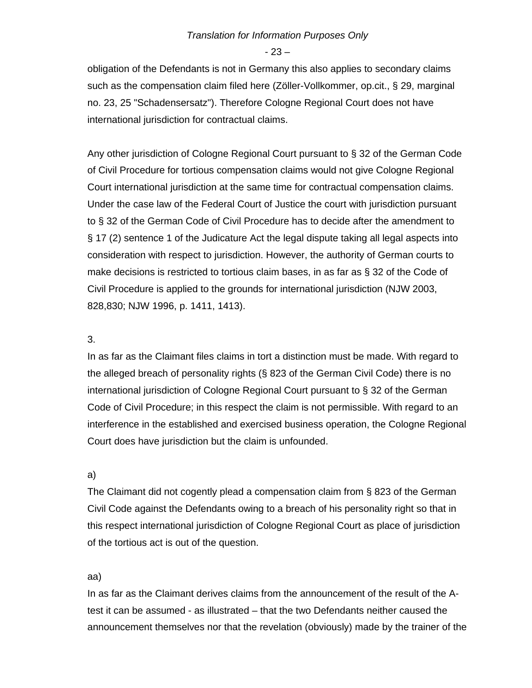- 23 –

obligation of the Defendants is not in Germany this also applies to secondary claims such as the compensation claim filed here (Zöller-Vollkommer, op.cit., § 29, marginal no. 23, 25 "Schadensersatz"). Therefore Cologne Regional Court does not have international jurisdiction for contractual claims.

Any other jurisdiction of Cologne Regional Court pursuant to § 32 of the German Code of Civil Procedure for tortious compensation claims would not give Cologne Regional Court international jurisdiction at the same time for contractual compensation claims. Under the case law of the Federal Court of Justice the court with jurisdiction pursuant to § 32 of the German Code of Civil Procedure has to decide after the amendment to § 17 (2) sentence 1 of the Judicature Act the legal dispute taking all legal aspects into consideration with respect to jurisdiction. However, the authority of German courts to make decisions is restricted to tortious claim bases, in as far as § 32 of the Code of Civil Procedure is applied to the grounds for international jurisdiction (NJW 2003, 828,830; NJW 1996, p. 1411, 1413).

## 3.

In as far as the Claimant files claims in tort a distinction must be made. With regard to the alleged breach of personality rights (§ 823 of the German Civil Code) there is no international jurisdiction of Cologne Regional Court pursuant to § 32 of the German Code of Civil Procedure; in this respect the claim is not permissible. With regard to an interference in the established and exercised business operation, the Cologne Regional Court does have jurisdiction but the claim is unfounded.

#### a)

The Claimant did not cogently plead a compensation claim from § 823 of the German Civil Code against the Defendants owing to a breach of his personality right so that in this respect international jurisdiction of Cologne Regional Court as place of jurisdiction of the tortious act is out of the question.

#### aa)

In as far as the Claimant derives claims from the announcement of the result of the Atest it can be assumed - as illustrated – that the two Defendants neither caused the announcement themselves nor that the revelation (obviously) made by the trainer of the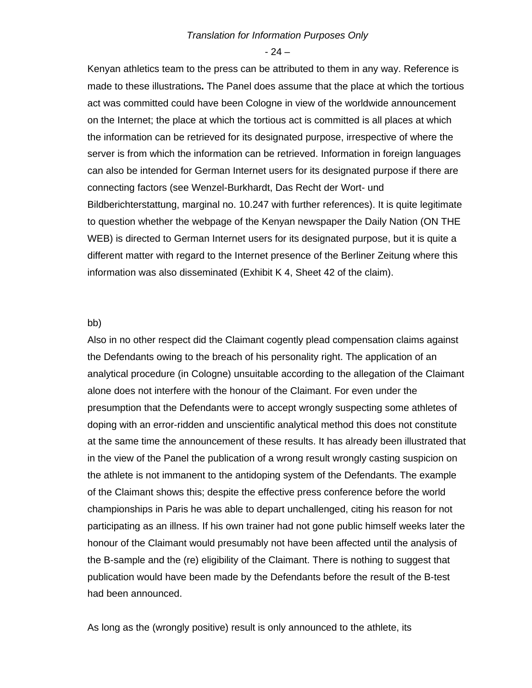$-24-$ 

Kenyan athletics team to the press can be attributed to them in any way. Reference is made to these illustrations**.** The Panel does assume that the place at which the tortious act was committed could have been Cologne in view of the worldwide announcement on the Internet; the place at which the tortious act is committed is all places at which the information can be retrieved for its designated purpose, irrespective of where the server is from which the information can be retrieved. Information in foreign languages can also be intended for German Internet users for its designated purpose if there are connecting factors (see Wenzel-Burkhardt, Das Recht der Wort- und Bildberichterstattung, marginal no. 10.247 with further references). It is quite legitimate to question whether the webpage of the Kenyan newspaper the Daily Nation (ON THE WEB) is directed to German Internet users for its designated purpose, but it is quite a different matter with regard to the Internet presence of the Berliner Zeitung where this information was also disseminated (Exhibit K 4, Sheet 42 of the claim).

#### bb)

Also in no other respect did the Claimant cogently plead compensation claims against the Defendants owing to the breach of his personality right. The application of an analytical procedure (in Cologne) unsuitable according to the allegation of the Claimant alone does not interfere with the honour of the Claimant. For even under the presumption that the Defendants were to accept wrongly suspecting some athletes of doping with an error-ridden and unscientific analytical method this does not constitute at the same time the announcement of these results. It has already been illustrated that in the view of the Panel the publication of a wrong result wrongly casting suspicion on the athlete is not immanent to the antidoping system of the Defendants. The example of the Claimant shows this; despite the effective press conference before the world championships in Paris he was able to depart unchallenged, citing his reason for not participating as an illness. If his own trainer had not gone public himself weeks later the honour of the Claimant would presumably not have been affected until the analysis of the B-sample and the (re) eligibility of the Claimant. There is nothing to suggest that publication would have been made by the Defendants before the result of the B-test had been announced.

As long as the (wrongly positive) result is only announced to the athlete, its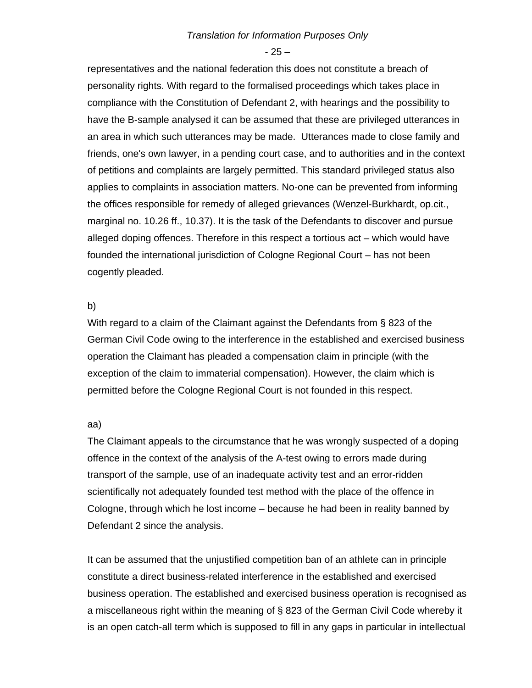- 25 –

representatives and the national federation this does not constitute a breach of personality rights. With regard to the formalised proceedings which takes place in compliance with the Constitution of Defendant 2, with hearings and the possibility to have the B-sample analysed it can be assumed that these are privileged utterances in an area in which such utterances may be made. Utterances made to close family and friends, one's own lawyer, in a pending court case, and to authorities and in the context of petitions and complaints are largely permitted. This standard privileged status also applies to complaints in association matters. No-one can be prevented from informing the offices responsible for remedy of alleged grievances (Wenzel-Burkhardt, op.cit., marginal no. 10.26 ff., 10.37). It is the task of the Defendants to discover and pursue alleged doping offences. Therefore in this respect a tortious act – which would have founded the international jurisdiction of Cologne Regional Court – has not been cogently pleaded.

## b)

With regard to a claim of the Claimant against the Defendants from § 823 of the German Civil Code owing to the interference in the established and exercised business operation the Claimant has pleaded a compensation claim in principle (with the exception of the claim to immaterial compensation). However, the claim which is permitted before the Cologne Regional Court is not founded in this respect.

#### aa)

The Claimant appeals to the circumstance that he was wrongly suspected of a doping offence in the context of the analysis of the A-test owing to errors made during transport of the sample, use of an inadequate activity test and an error-ridden scientifically not adequately founded test method with the place of the offence in Cologne, through which he lost income – because he had been in reality banned by Defendant 2 since the analysis.

It can be assumed that the unjustified competition ban of an athlete can in principle constitute a direct business-related interference in the established and exercised business operation. The established and exercised business operation is recognised as a miscellaneous right within the meaning of § 823 of the German Civil Code whereby it is an open catch-all term which is supposed to fill in any gaps in particular in intellectual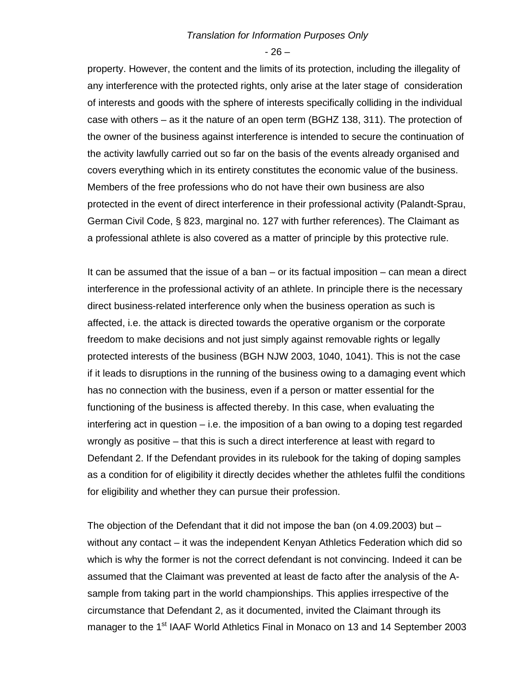$-26-$ 

property. However, the content and the limits of its protection, including the illegality of any interference with the protected rights, only arise at the later stage of consideration of interests and goods with the sphere of interests specifically colliding in the individual case with others – as it the nature of an open term (BGHZ 138, 311). The protection of the owner of the business against interference is intended to secure the continuation of the activity lawfully carried out so far on the basis of the events already organised and covers everything which in its entirety constitutes the economic value of the business. Members of the free professions who do not have their own business are also protected in the event of direct interference in their professional activity (Palandt-Sprau, German Civil Code, § 823, marginal no. 127 with further references). The Claimant as a professional athlete is also covered as a matter of principle by this protective rule.

It can be assumed that the issue of a ban  $-$  or its factual imposition  $-$  can mean a direct interference in the professional activity of an athlete. In principle there is the necessary direct business-related interference only when the business operation as such is affected, i.e. the attack is directed towards the operative organism or the corporate freedom to make decisions and not just simply against removable rights or legally protected interests of the business (BGH NJW 2003, 1040, 1041). This is not the case if it leads to disruptions in the running of the business owing to a damaging event which has no connection with the business, even if a person or matter essential for the functioning of the business is affected thereby. In this case, when evaluating the interfering act in question – i.e. the imposition of a ban owing to a doping test regarded wrongly as positive – that this is such a direct interference at least with regard to Defendant 2. If the Defendant provides in its rulebook for the taking of doping samples as a condition for of eligibility it directly decides whether the athletes fulfil the conditions for eligibility and whether they can pursue their profession.

The objection of the Defendant that it did not impose the ban (on 4.09.2003) but – without any contact – it was the independent Kenyan Athletics Federation which did so which is why the former is not the correct defendant is not convincing. Indeed it can be assumed that the Claimant was prevented at least de facto after the analysis of the Asample from taking part in the world championships. This applies irrespective of the circumstance that Defendant 2, as it documented, invited the Claimant through its manager to the 1<sup>st</sup> IAAF World Athletics Final in Monaco on 13 and 14 September 2003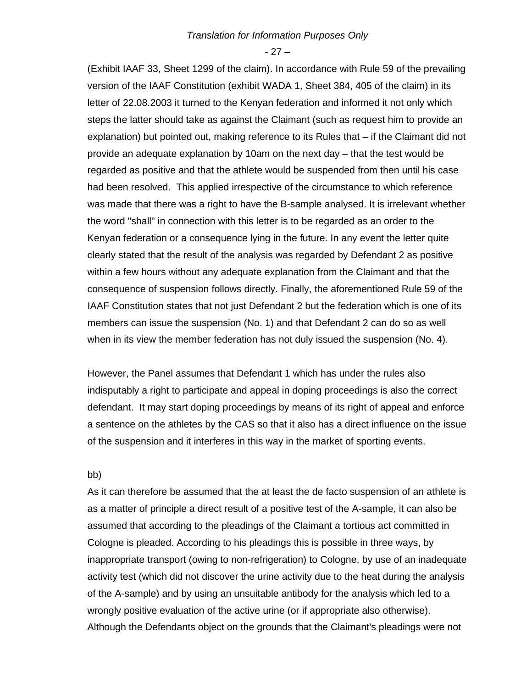$-27-$ 

(Exhibit IAAF 33, Sheet 1299 of the claim). In accordance with Rule 59 of the prevailing version of the IAAF Constitution (exhibit WADA 1, Sheet 384, 405 of the claim) in its letter of 22.08.2003 it turned to the Kenyan federation and informed it not only which steps the latter should take as against the Claimant (such as request him to provide an explanation) but pointed out, making reference to its Rules that – if the Claimant did not provide an adequate explanation by 10am on the next day – that the test would be regarded as positive and that the athlete would be suspended from then until his case had been resolved. This applied irrespective of the circumstance to which reference was made that there was a right to have the B-sample analysed. It is irrelevant whether the word "shall" in connection with this letter is to be regarded as an order to the Kenyan federation or a consequence lying in the future. In any event the letter quite clearly stated that the result of the analysis was regarded by Defendant 2 as positive within a few hours without any adequate explanation from the Claimant and that the consequence of suspension follows directly. Finally, the aforementioned Rule 59 of the IAAF Constitution states that not just Defendant 2 but the federation which is one of its members can issue the suspension (No. 1) and that Defendant 2 can do so as well when in its view the member federation has not duly issued the suspension (No. 4).

However, the Panel assumes that Defendant 1 which has under the rules also indisputably a right to participate and appeal in doping proceedings is also the correct defendant. It may start doping proceedings by means of its right of appeal and enforce a sentence on the athletes by the CAS so that it also has a direct influence on the issue of the suspension and it interferes in this way in the market of sporting events.

## bb)

As it can therefore be assumed that the at least the de facto suspension of an athlete is as a matter of principle a direct result of a positive test of the A-sample, it can also be assumed that according to the pleadings of the Claimant a tortious act committed in Cologne is pleaded. According to his pleadings this is possible in three ways, by inappropriate transport (owing to non-refrigeration) to Cologne, by use of an inadequate activity test (which did not discover the urine activity due to the heat during the analysis of the A-sample) and by using an unsuitable antibody for the analysis which led to a wrongly positive evaluation of the active urine (or if appropriate also otherwise). Although the Defendants object on the grounds that the Claimant's pleadings were not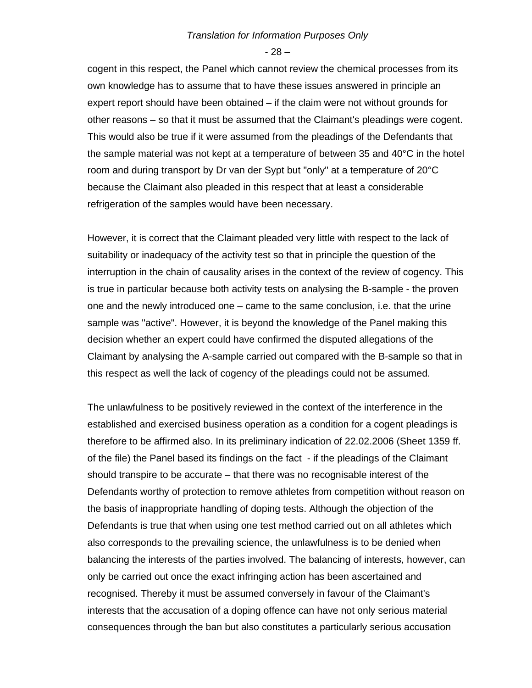- 28 –

cogent in this respect, the Panel which cannot review the chemical processes from its own knowledge has to assume that to have these issues answered in principle an expert report should have been obtained – if the claim were not without grounds for other reasons – so that it must be assumed that the Claimant's pleadings were cogent. This would also be true if it were assumed from the pleadings of the Defendants that the sample material was not kept at a temperature of between 35 and 40°C in the hotel room and during transport by Dr van der Sypt but "only" at a temperature of 20°C because the Claimant also pleaded in this respect that at least a considerable refrigeration of the samples would have been necessary.

However, it is correct that the Claimant pleaded very little with respect to the lack of suitability or inadequacy of the activity test so that in principle the question of the interruption in the chain of causality arises in the context of the review of cogency. This is true in particular because both activity tests on analysing the B-sample - the proven one and the newly introduced one – came to the same conclusion, i.e. that the urine sample was "active". However, it is beyond the knowledge of the Panel making this decision whether an expert could have confirmed the disputed allegations of the Claimant by analysing the A-sample carried out compared with the B-sample so that in this respect as well the lack of cogency of the pleadings could not be assumed.

The unlawfulness to be positively reviewed in the context of the interference in the established and exercised business operation as a condition for a cogent pleadings is therefore to be affirmed also. In its preliminary indication of 22.02.2006 (Sheet 1359 ff. of the file) the Panel based its findings on the fact - if the pleadings of the Claimant should transpire to be accurate – that there was no recognisable interest of the Defendants worthy of protection to remove athletes from competition without reason on the basis of inappropriate handling of doping tests. Although the objection of the Defendants is true that when using one test method carried out on all athletes which also corresponds to the prevailing science, the unlawfulness is to be denied when balancing the interests of the parties involved. The balancing of interests, however, can only be carried out once the exact infringing action has been ascertained and recognised. Thereby it must be assumed conversely in favour of the Claimant's interests that the accusation of a doping offence can have not only serious material consequences through the ban but also constitutes a particularly serious accusation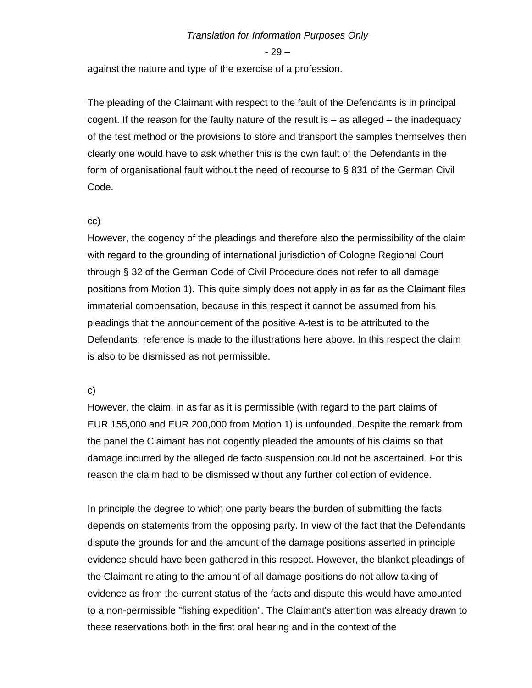- 29 –

against the nature and type of the exercise of a profession.

The pleading of the Claimant with respect to the fault of the Defendants is in principal cogent. If the reason for the faulty nature of the result is  $-$  as alleged  $-$  the inadequacy of the test method or the provisions to store and transport the samples themselves then clearly one would have to ask whether this is the own fault of the Defendants in the form of organisational fault without the need of recourse to § 831 of the German Civil Code.

#### cc)

However, the cogency of the pleadings and therefore also the permissibility of the claim with regard to the grounding of international jurisdiction of Cologne Regional Court through § 32 of the German Code of Civil Procedure does not refer to all damage positions from Motion 1). This quite simply does not apply in as far as the Claimant files immaterial compensation, because in this respect it cannot be assumed from his pleadings that the announcement of the positive A-test is to be attributed to the Defendants; reference is made to the illustrations here above. In this respect the claim is also to be dismissed as not permissible.

## c)

However, the claim, in as far as it is permissible (with regard to the part claims of EUR 155,000 and EUR 200,000 from Motion 1) is unfounded. Despite the remark from the panel the Claimant has not cogently pleaded the amounts of his claims so that damage incurred by the alleged de facto suspension could not be ascertained. For this reason the claim had to be dismissed without any further collection of evidence.

In principle the degree to which one party bears the burden of submitting the facts depends on statements from the opposing party. In view of the fact that the Defendants dispute the grounds for and the amount of the damage positions asserted in principle evidence should have been gathered in this respect. However, the blanket pleadings of the Claimant relating to the amount of all damage positions do not allow taking of evidence as from the current status of the facts and dispute this would have amounted to a non-permissible "fishing expedition". The Claimant's attention was already drawn to these reservations both in the first oral hearing and in the context of the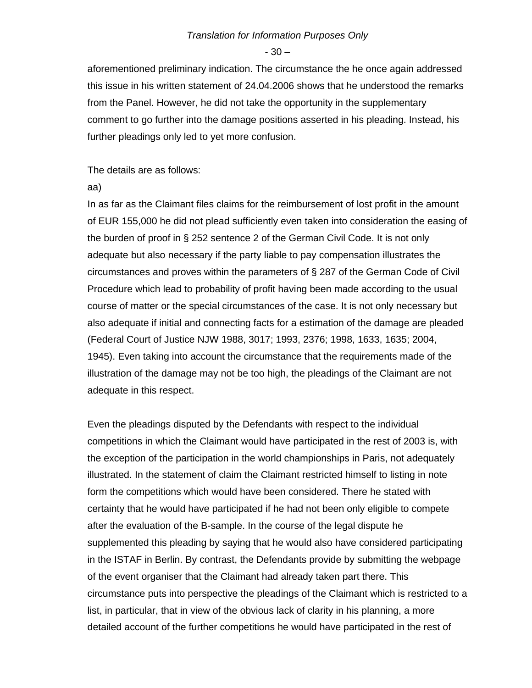$-30-$ 

aforementioned preliminary indication. The circumstance the he once again addressed this issue in his written statement of 24.04.2006 shows that he understood the remarks from the Panel. However, he did not take the opportunity in the supplementary comment to go further into the damage positions asserted in his pleading. Instead, his further pleadings only led to yet more confusion.

The details are as follows:

aa)

In as far as the Claimant files claims for the reimbursement of lost profit in the amount of EUR 155,000 he did not plead sufficiently even taken into consideration the easing of the burden of proof in § 252 sentence 2 of the German Civil Code. It is not only adequate but also necessary if the party liable to pay compensation illustrates the circumstances and proves within the parameters of § 287 of the German Code of Civil Procedure which lead to probability of profit having been made according to the usual course of matter or the special circumstances of the case. It is not only necessary but also adequate if initial and connecting facts for a estimation of the damage are pleaded (Federal Court of Justice NJW 1988, 3017; 1993, 2376; 1998, 1633, 1635; 2004, 1945). Even taking into account the circumstance that the requirements made of the illustration of the damage may not be too high, the pleadings of the Claimant are not adequate in this respect.

Even the pleadings disputed by the Defendants with respect to the individual competitions in which the Claimant would have participated in the rest of 2003 is, with the exception of the participation in the world championships in Paris, not adequately illustrated. In the statement of claim the Claimant restricted himself to listing in note form the competitions which would have been considered. There he stated with certainty that he would have participated if he had not been only eligible to compete after the evaluation of the B-sample. In the course of the legal dispute he supplemented this pleading by saying that he would also have considered participating in the ISTAF in Berlin. By contrast, the Defendants provide by submitting the webpage of the event organiser that the Claimant had already taken part there. This circumstance puts into perspective the pleadings of the Claimant which is restricted to a list, in particular, that in view of the obvious lack of clarity in his planning, a more detailed account of the further competitions he would have participated in the rest of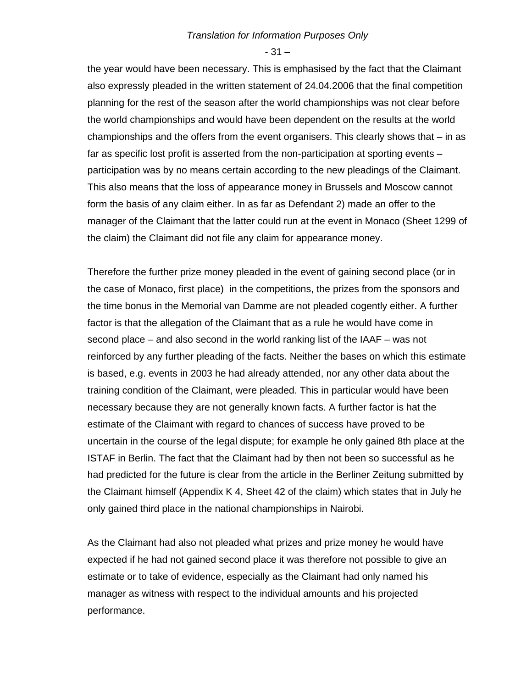- 31 –

the year would have been necessary. This is emphasised by the fact that the Claimant also expressly pleaded in the written statement of 24.04.2006 that the final competition planning for the rest of the season after the world championships was not clear before the world championships and would have been dependent on the results at the world championships and the offers from the event organisers. This clearly shows that – in as far as specific lost profit is asserted from the non-participation at sporting events – participation was by no means certain according to the new pleadings of the Claimant. This also means that the loss of appearance money in Brussels and Moscow cannot form the basis of any claim either. In as far as Defendant 2) made an offer to the manager of the Claimant that the latter could run at the event in Monaco (Sheet 1299 of the claim) the Claimant did not file any claim for appearance money.

Therefore the further prize money pleaded in the event of gaining second place (or in the case of Monaco, first place) in the competitions, the prizes from the sponsors and the time bonus in the Memorial van Damme are not pleaded cogently either. A further factor is that the allegation of the Claimant that as a rule he would have come in second place – and also second in the world ranking list of the IAAF – was not reinforced by any further pleading of the facts. Neither the bases on which this estimate is based, e.g. events in 2003 he had already attended, nor any other data about the training condition of the Claimant, were pleaded. This in particular would have been necessary because they are not generally known facts. A further factor is hat the estimate of the Claimant with regard to chances of success have proved to be uncertain in the course of the legal dispute; for example he only gained 8th place at the ISTAF in Berlin. The fact that the Claimant had by then not been so successful as he had predicted for the future is clear from the article in the Berliner Zeitung submitted by the Claimant himself (Appendix K 4, Sheet 42 of the claim) which states that in July he only gained third place in the national championships in Nairobi.

As the Claimant had also not pleaded what prizes and prize money he would have expected if he had not gained second place it was therefore not possible to give an estimate or to take of evidence, especially as the Claimant had only named his manager as witness with respect to the individual amounts and his projected performance.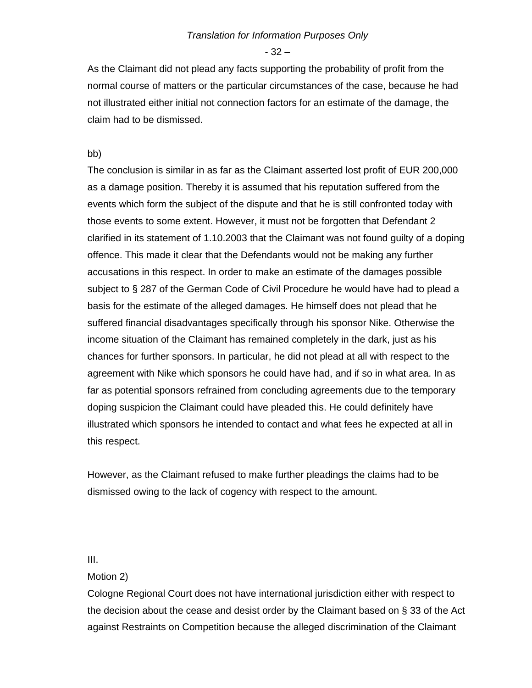- 32 –

As the Claimant did not plead any facts supporting the probability of profit from the normal course of matters or the particular circumstances of the case, because he had not illustrated either initial not connection factors for an estimate of the damage, the claim had to be dismissed.

## bb)

The conclusion is similar in as far as the Claimant asserted lost profit of EUR 200,000 as a damage position. Thereby it is assumed that his reputation suffered from the events which form the subject of the dispute and that he is still confronted today with those events to some extent. However, it must not be forgotten that Defendant 2 clarified in its statement of 1.10.2003 that the Claimant was not found guilty of a doping offence. This made it clear that the Defendants would not be making any further accusations in this respect. In order to make an estimate of the damages possible subject to § 287 of the German Code of Civil Procedure he would have had to plead a basis for the estimate of the alleged damages. He himself does not plead that he suffered financial disadvantages specifically through his sponsor Nike. Otherwise the income situation of the Claimant has remained completely in the dark, just as his chances for further sponsors. In particular, he did not plead at all with respect to the agreement with Nike which sponsors he could have had, and if so in what area. In as far as potential sponsors refrained from concluding agreements due to the temporary doping suspicion the Claimant could have pleaded this. He could definitely have illustrated which sponsors he intended to contact and what fees he expected at all in this respect.

However, as the Claimant refused to make further pleadings the claims had to be dismissed owing to the lack of cogency with respect to the amount.

#### III.

## Motion 2)

Cologne Regional Court does not have international jurisdiction either with respect to the decision about the cease and desist order by the Claimant based on § 33 of the Act against Restraints on Competition because the alleged discrimination of the Claimant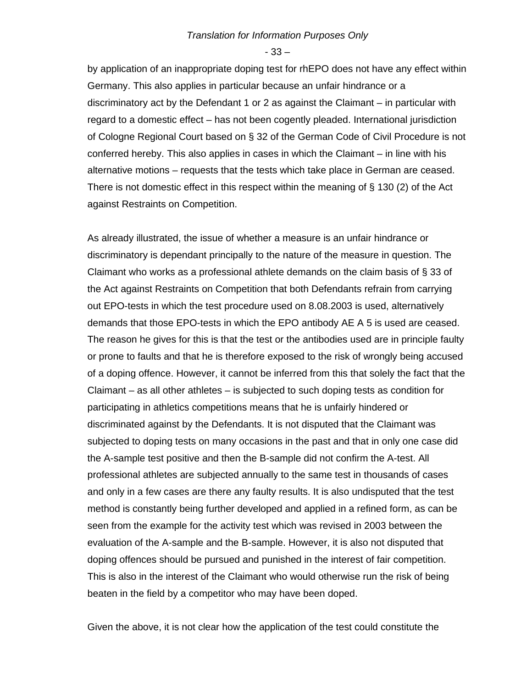- 33 –

by application of an inappropriate doping test for rhEPO does not have any effect within Germany. This also applies in particular because an unfair hindrance or a discriminatory act by the Defendant 1 or 2 as against the Claimant – in particular with regard to a domestic effect – has not been cogently pleaded. International jurisdiction of Cologne Regional Court based on § 32 of the German Code of Civil Procedure is not conferred hereby. This also applies in cases in which the Claimant – in line with his alternative motions – requests that the tests which take place in German are ceased. There is not domestic effect in this respect within the meaning of  $\S$  130 (2) of the Act against Restraints on Competition.

As already illustrated, the issue of whether a measure is an unfair hindrance or discriminatory is dependant principally to the nature of the measure in question. The Claimant who works as a professional athlete demands on the claim basis of § 33 of the Act against Restraints on Competition that both Defendants refrain from carrying out EPO-tests in which the test procedure used on 8.08.2003 is used, alternatively demands that those EPO-tests in which the EPO antibody AE A 5 is used are ceased. The reason he gives for this is that the test or the antibodies used are in principle faulty or prone to faults and that he is therefore exposed to the risk of wrongly being accused of a doping offence. However, it cannot be inferred from this that solely the fact that the Claimant – as all other athletes – is subjected to such doping tests as condition for participating in athletics competitions means that he is unfairly hindered or discriminated against by the Defendants. It is not disputed that the Claimant was subjected to doping tests on many occasions in the past and that in only one case did the A-sample test positive and then the B-sample did not confirm the A-test. All professional athletes are subjected annually to the same test in thousands of cases and only in a few cases are there any faulty results. It is also undisputed that the test method is constantly being further developed and applied in a refined form, as can be seen from the example for the activity test which was revised in 2003 between the evaluation of the A-sample and the B-sample. However, it is also not disputed that doping offences should be pursued and punished in the interest of fair competition. This is also in the interest of the Claimant who would otherwise run the risk of being beaten in the field by a competitor who may have been doped.

Given the above, it is not clear how the application of the test could constitute the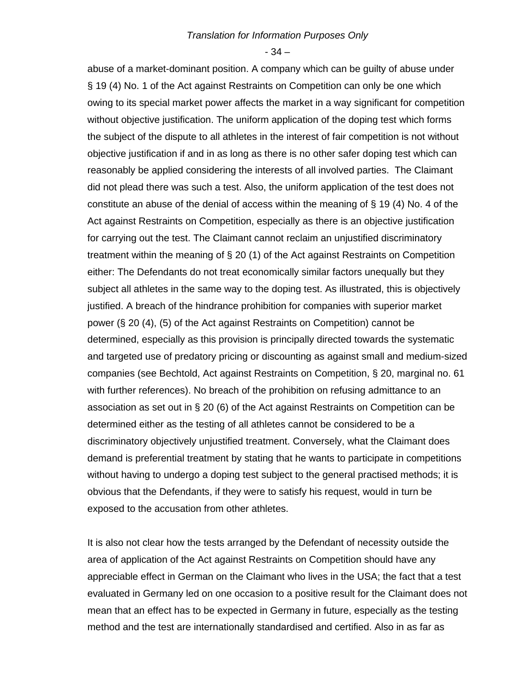- 34 –

abuse of a market-dominant position. A company which can be guilty of abuse under § 19 (4) No. 1 of the Act against Restraints on Competition can only be one which owing to its special market power affects the market in a way significant for competition without objective justification. The uniform application of the doping test which forms the subject of the dispute to all athletes in the interest of fair competition is not without objective justification if and in as long as there is no other safer doping test which can reasonably be applied considering the interests of all involved parties. The Claimant did not plead there was such a test. Also, the uniform application of the test does not constitute an abuse of the denial of access within the meaning of § 19 (4) No. 4 of the Act against Restraints on Competition, especially as there is an objective justification for carrying out the test. The Claimant cannot reclaim an unjustified discriminatory treatment within the meaning of § 20 (1) of the Act against Restraints on Competition either: The Defendants do not treat economically similar factors unequally but they subject all athletes in the same way to the doping test. As illustrated, this is objectively justified. A breach of the hindrance prohibition for companies with superior market power (§ 20 (4), (5) of the Act against Restraints on Competition) cannot be determined, especially as this provision is principally directed towards the systematic and targeted use of predatory pricing or discounting as against small and medium-sized companies (see Bechtold, Act against Restraints on Competition, § 20, marginal no. 61 with further references). No breach of the prohibition on refusing admittance to an association as set out in § 20 (6) of the Act against Restraints on Competition can be determined either as the testing of all athletes cannot be considered to be a discriminatory objectively unjustified treatment. Conversely, what the Claimant does demand is preferential treatment by stating that he wants to participate in competitions without having to undergo a doping test subject to the general practised methods; it is obvious that the Defendants, if they were to satisfy his request, would in turn be exposed to the accusation from other athletes.

It is also not clear how the tests arranged by the Defendant of necessity outside the area of application of the Act against Restraints on Competition should have any appreciable effect in German on the Claimant who lives in the USA; the fact that a test evaluated in Germany led on one occasion to a positive result for the Claimant does not mean that an effect has to be expected in Germany in future, especially as the testing method and the test are internationally standardised and certified. Also in as far as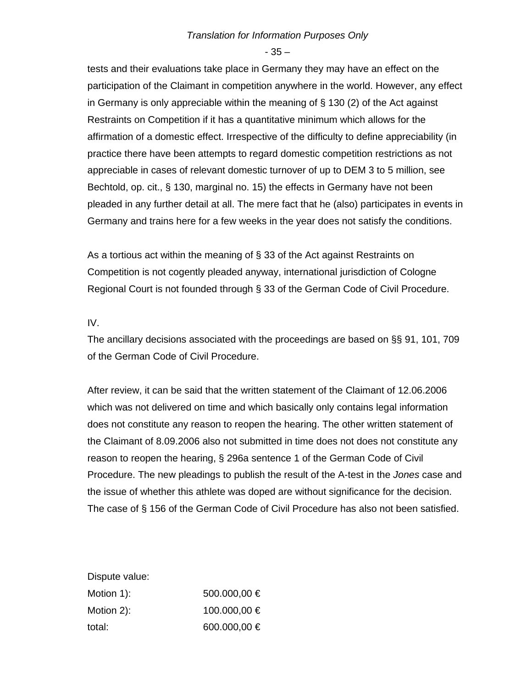- 35 –

tests and their evaluations take place in Germany they may have an effect on the participation of the Claimant in competition anywhere in the world. However, any effect in Germany is only appreciable within the meaning of § 130 (2) of the Act against Restraints on Competition if it has a quantitative minimum which allows for the affirmation of a domestic effect. Irrespective of the difficulty to define appreciability (in practice there have been attempts to regard domestic competition restrictions as not appreciable in cases of relevant domestic turnover of up to DEM 3 to 5 million, see Bechtold, op. cit., § 130, marginal no. 15) the effects in Germany have not been pleaded in any further detail at all. The mere fact that he (also) participates in events in Germany and trains here for a few weeks in the year does not satisfy the conditions.

As a tortious act within the meaning of § 33 of the Act against Restraints on Competition is not cogently pleaded anyway, international jurisdiction of Cologne Regional Court is not founded through § 33 of the German Code of Civil Procedure.

## IV.

The ancillary decisions associated with the proceedings are based on §§ 91, 101, 709 of the German Code of Civil Procedure.

After review, it can be said that the written statement of the Claimant of 12.06.2006 which was not delivered on time and which basically only contains legal information does not constitute any reason to reopen the hearing. The other written statement of the Claimant of 8.09.2006 also not submitted in time does not does not constitute any reason to reopen the hearing, § 296a sentence 1 of the German Code of Civil Procedure. The new pleadings to publish the result of the A-test in the *Jones* case and the issue of whether this athlete was doped are without significance for the decision. The case of § 156 of the German Code of Civil Procedure has also not been satisfied.

Dispute value:

| Motion 1): | 500.000,00 €     |
|------------|------------------|
| Motion 2): | 100.000,00 €     |
| total:     | 600.000,00 $\in$ |